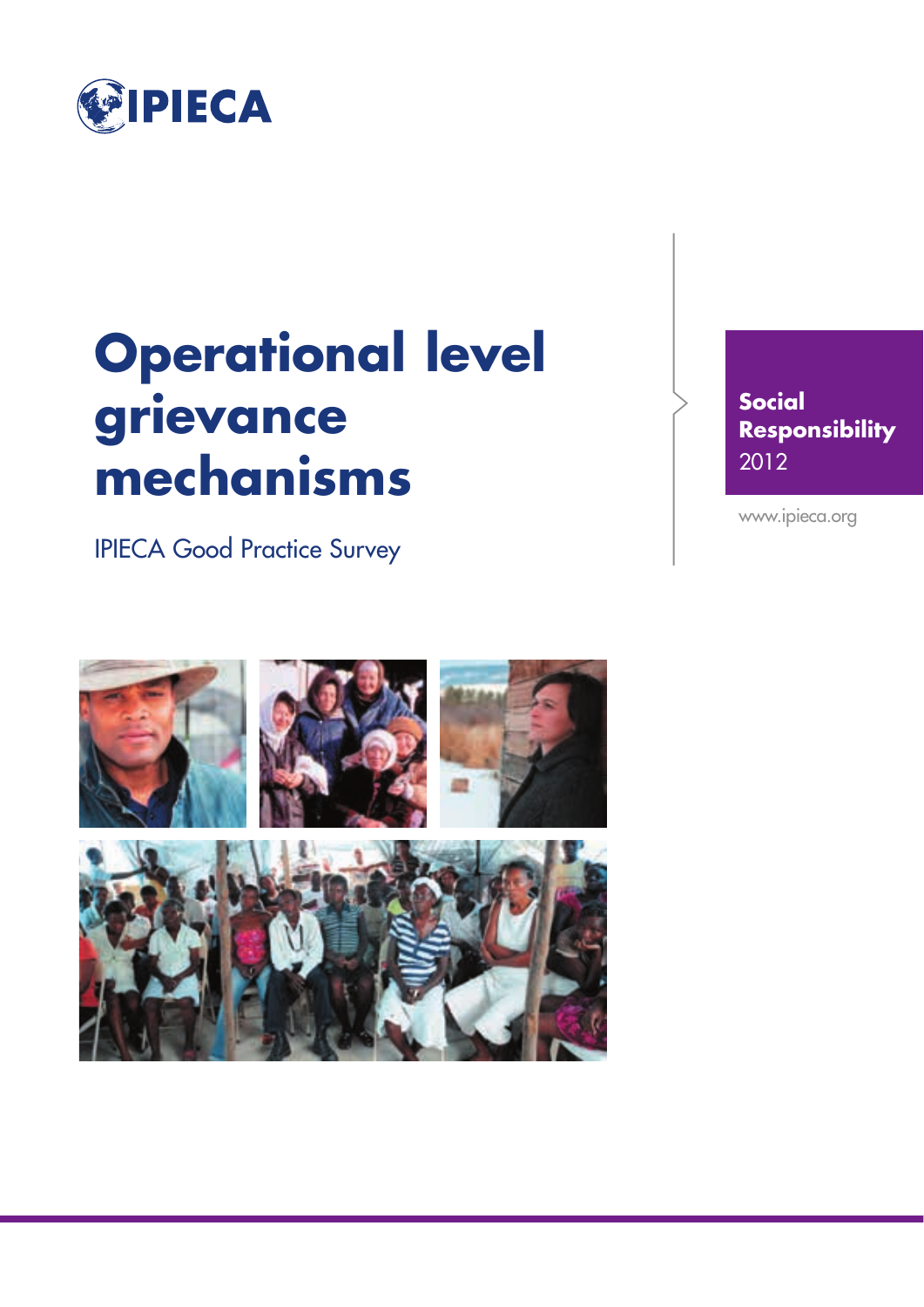

## **Operational level grievance mechanisms**

IPIECA Good Practice Survey

**Social Responsibility** 2012

www.ipieca.org

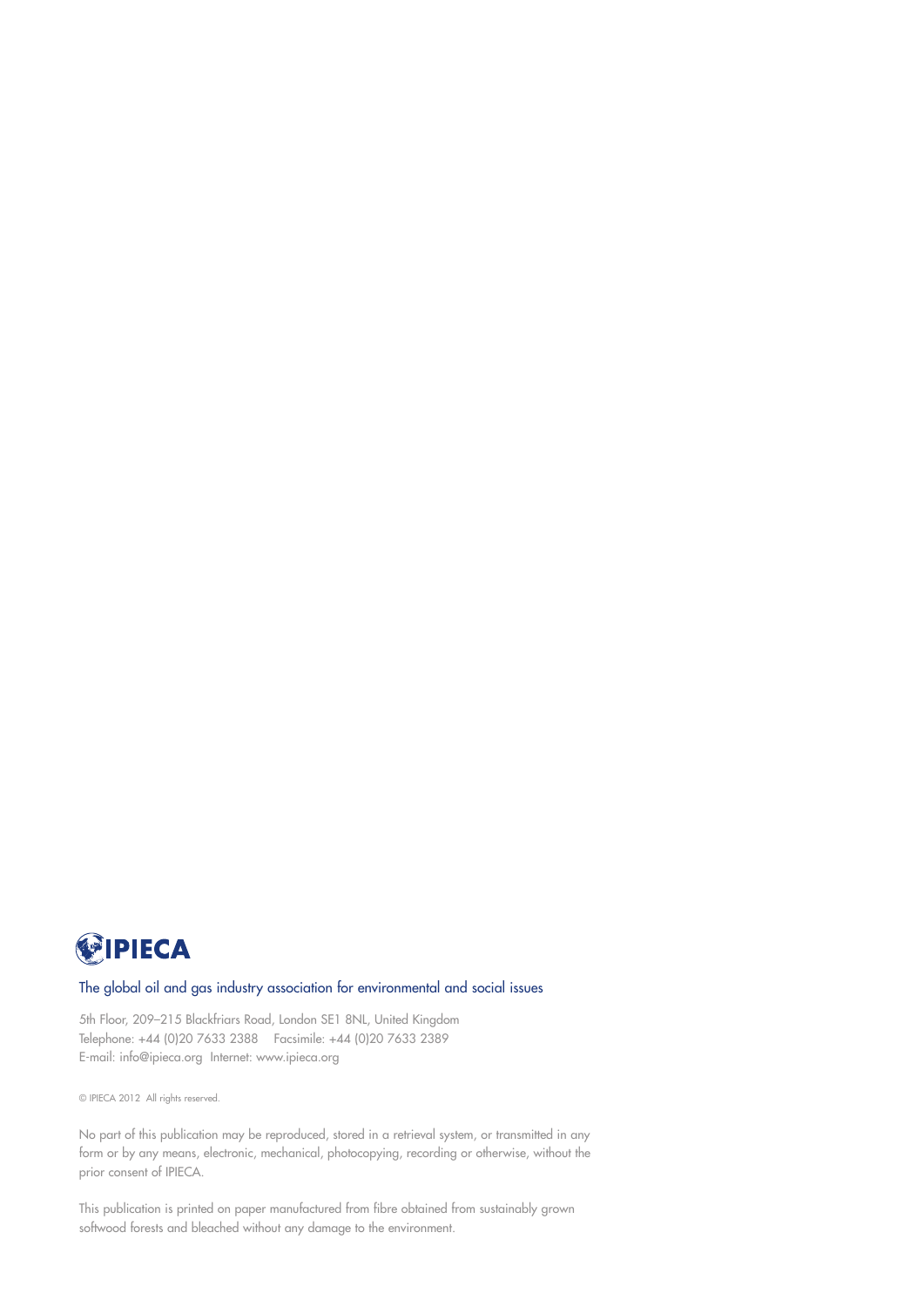

#### The global oil and gas industry association for environmental and social issues

5th Floor, 209–215 Blackfriars Road, London SE1 8NL, United Kingdom Telephone: +44 (0)20 7633 2388 Facsimile: +44 (0)20 7633 2389 E-mail: info@ipieca.org Internet: www.ipieca.org

© IPIECA 2012 All rights reserved.

No part of this publication may be reproduced, stored in a retrieval system, or transmitted in any form or by any means, electronic, mechanical, photocopying, recording or otherwise, without the prior consent of IPIECA.

This publication is printed on paper manufactured from fibre obtained from sustainably grown softwood forests and bleached without any damage to the environment.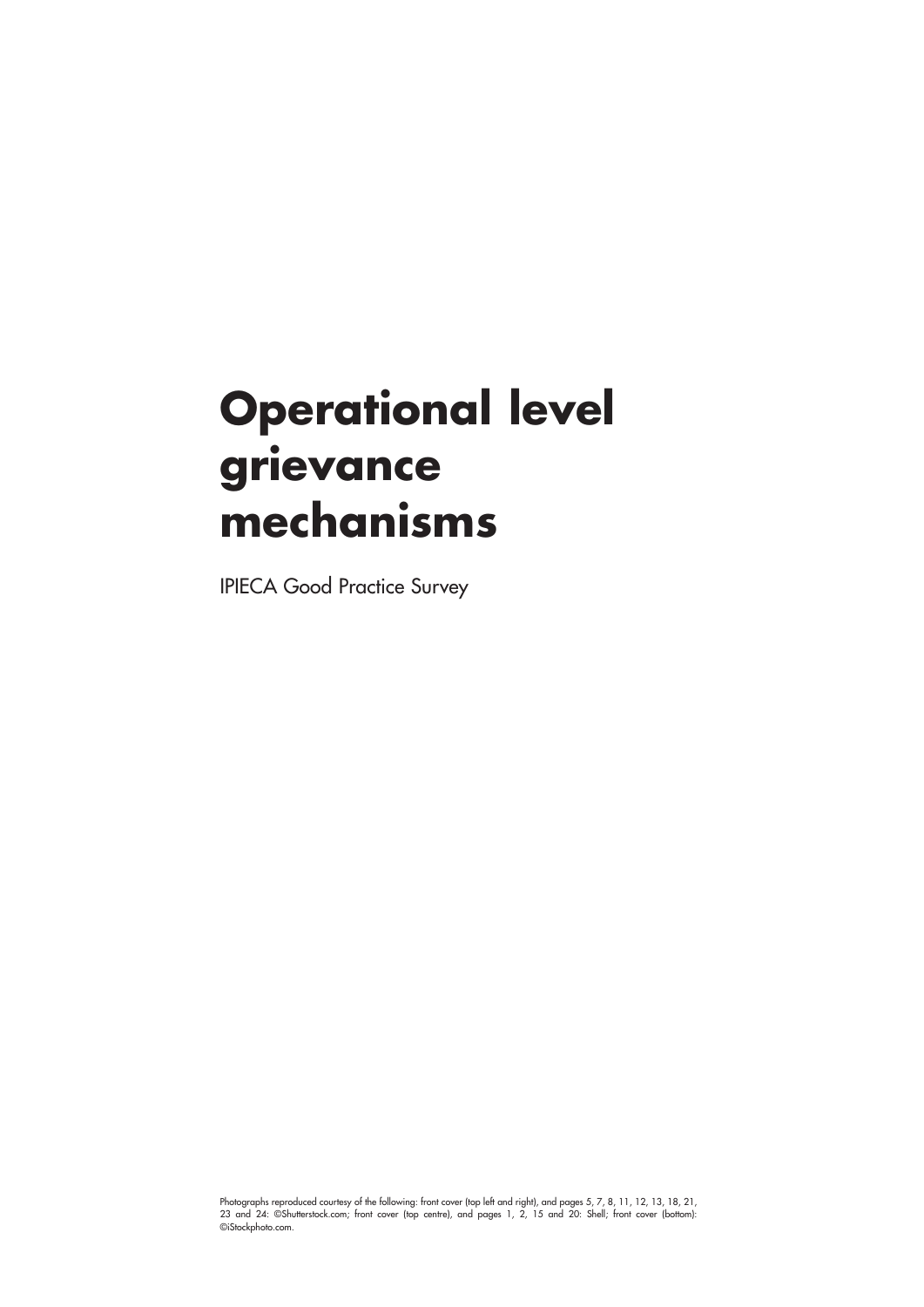## **Operational level grievance mechanisms**

IPIECA Good Practice Survey

Photographs reproduced courtesy of the following: front cover (top left and right), and pages 5, 7, 8, 11, 12, 13, 18, 21, 23 and 24: ©Shutterstock.com; front cover (top centre), and pages 1, 2, 15 and 20: Shell; front cover (bottom): ©iStockphoto.com.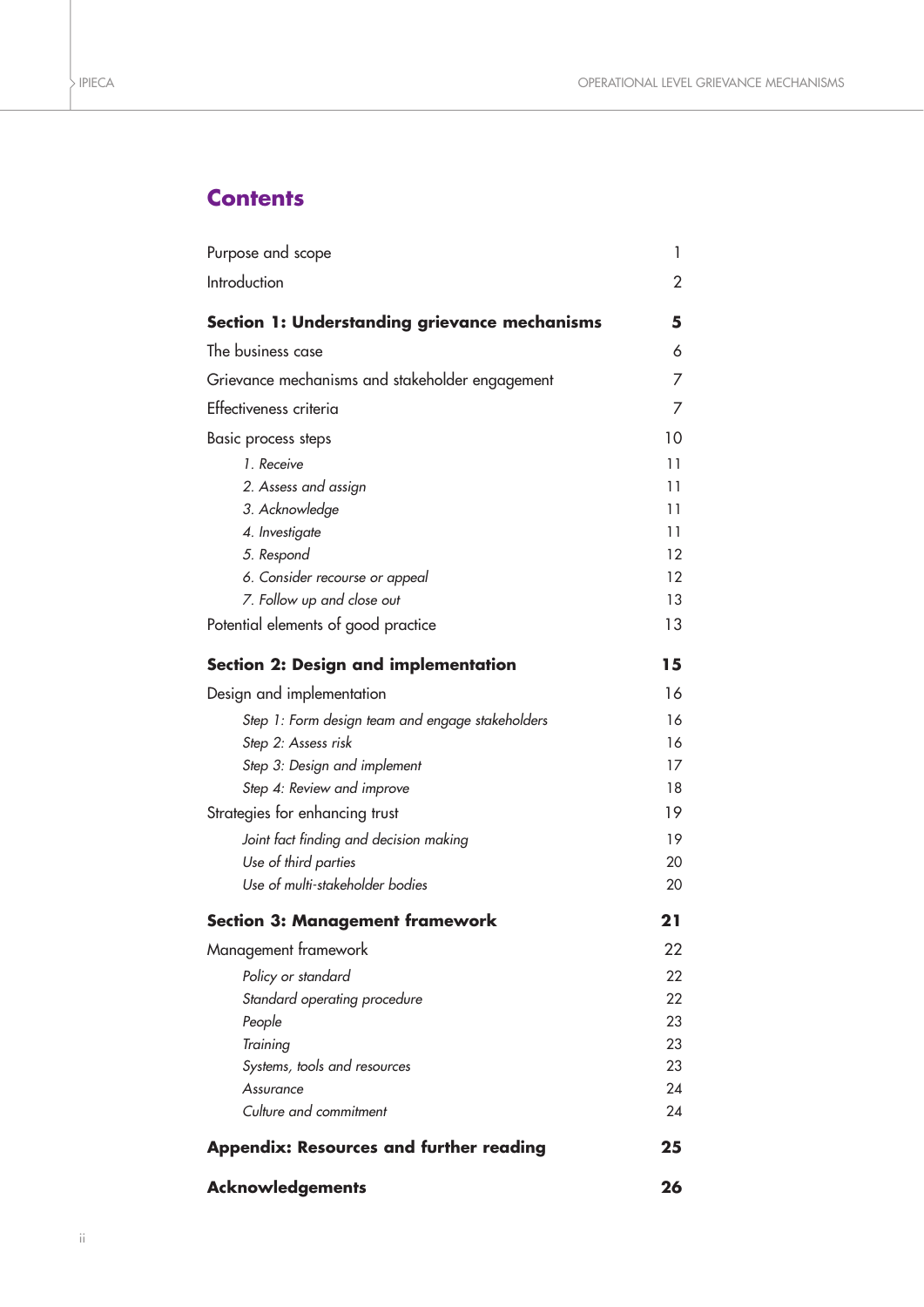## **Contents**

| Purpose and scope                                    | 1  |  |  |  |
|------------------------------------------------------|----|--|--|--|
| Introduction                                         | 2  |  |  |  |
| <b>Section 1: Understanding grievance mechanisms</b> | 5  |  |  |  |
| The business case                                    | 6  |  |  |  |
| Grievance mechanisms and stakeholder engagement      | 7  |  |  |  |
| Effectiveness criteria                               | 7  |  |  |  |
| Basic process steps                                  | 10 |  |  |  |
| 1. Receive                                           | 11 |  |  |  |
| 2. Assess and assign                                 | 11 |  |  |  |
| 3. Acknowledge                                       | 11 |  |  |  |
| 4. Investigate                                       | 11 |  |  |  |
| 5. Respond                                           | 12 |  |  |  |
| 6. Consider recourse or appeal                       | 12 |  |  |  |
| 7. Follow up and close out                           | 13 |  |  |  |
| Potential elements of good practice                  | 13 |  |  |  |
| <b>Section 2: Design and implementation</b>          | 15 |  |  |  |
| Design and implementation                            | 16 |  |  |  |
| Step 1: Form design team and engage stakeholders     | 16 |  |  |  |
| Step 2: Assess risk                                  | 16 |  |  |  |
| Step 3: Design and implement                         | 17 |  |  |  |
| Step 4: Review and improve                           | 18 |  |  |  |
| Strategies for enhancing trust                       | 19 |  |  |  |
| Joint fact finding and decision making               | 19 |  |  |  |
| Use of third parties                                 | 20 |  |  |  |
| Use of multi-stakeholder bodies                      | 20 |  |  |  |
| <b>Section 3: Management framework</b>               | 21 |  |  |  |
| Management framework                                 | 22 |  |  |  |
| Policy or standard                                   | 22 |  |  |  |
| Standard operating procedure                         | 22 |  |  |  |
| People                                               | 23 |  |  |  |
| Training                                             | 23 |  |  |  |
| Systems, tools and resources                         | 23 |  |  |  |
| Assurance                                            | 24 |  |  |  |
| Culture and commitment                               | 24 |  |  |  |
| <b>Appendix: Resources and further reading</b><br>25 |    |  |  |  |
| <b>Acknowledgements</b>                              | 26 |  |  |  |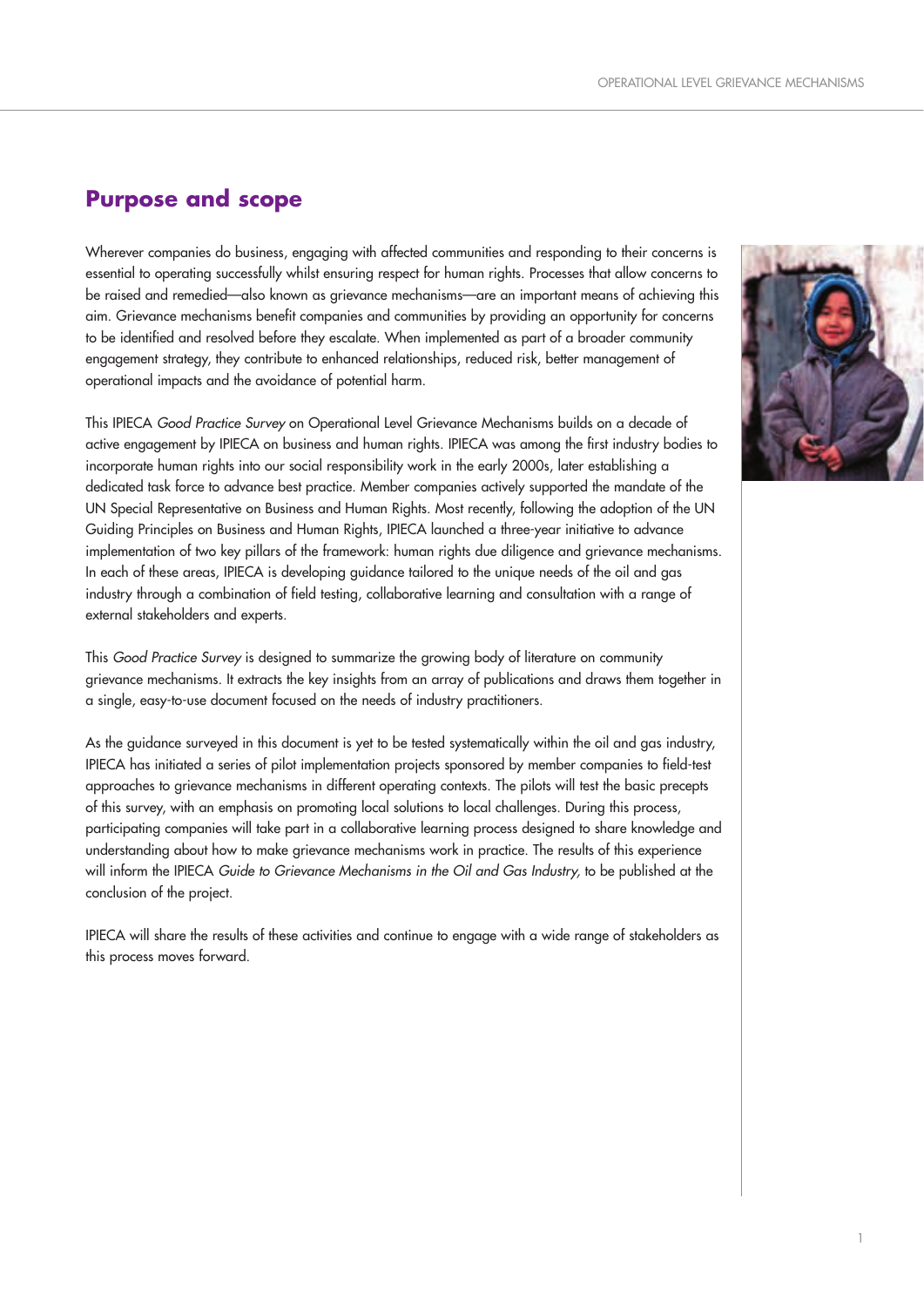## **Purpose and scope**

Wherever companies do business, engaging with affected communities and responding to their concerns is essential to operating successfully whilst ensuring respect for human rights. Processes that allow concerns to be raised and remedied—also known as grievance mechanisms—are an important means of achieving this aim. Grievance mechanisms benefit companies and communities by providing an opportunity for concerns to be identified and resolved before they escalate. When implemented as part of a broader community engagement strategy, they contribute to enhanced relationships, reduced risk, better management of operational impacts and the avoidance of potential harm.

This IPIECA Good Practice Survey on Operational Level Grievance Mechanisms builds on a decade of active engagement by IPIECA on business and human rights. IPIECA was among the first industry bodies to incorporate human rights into our social responsibility work in the early 2000s, later establishing a dedicated task force to advance best practice. Member companies actively supported the mandate of the UN Special Representative on Business and Human Rights. Most recently, following the adoption of the UN Guiding Principles on Business and Human Rights, IPIECA launched a three-year initiative to advance implementation of two key pillars of the framework: human rights due diligence and grievance mechanisms. In each of these areas, IPIECA is developing guidance tailored to the unique needs of the oil and gas industry through a combination of field testing, collaborative learning and consultation with a range of external stakeholders and experts.

This Good Practice Survey is designed to summarize the growing body of literature on community grievance mechanisms. It extracts the key insights from an array of publications and draws them together in a single, easy-to-use document focused on the needs of industry practitioners.

As the guidance surveyed in this document is yet to be tested systematically within the oil and gas industry, IPIECA has initiated a series of pilot implementation projects sponsored by member companies to field-test approaches to grievance mechanisms in different operating contexts. The pilots will test the basic precepts of this survey, with an emphasis on promoting local solutions to local challenges. During this process, participating companies will take part in a collaborative learning process designed to share knowledge and understanding about how to make grievance mechanisms work in practice. The results of this experience will inform the IPIECA Guide to Grievance Mechanisms in the Oil and Gas Industry, to be published at the conclusion of the project.

IPIECA will share the results of these activities and continue to engage with a wide range of stakeholders as this process moves forward.

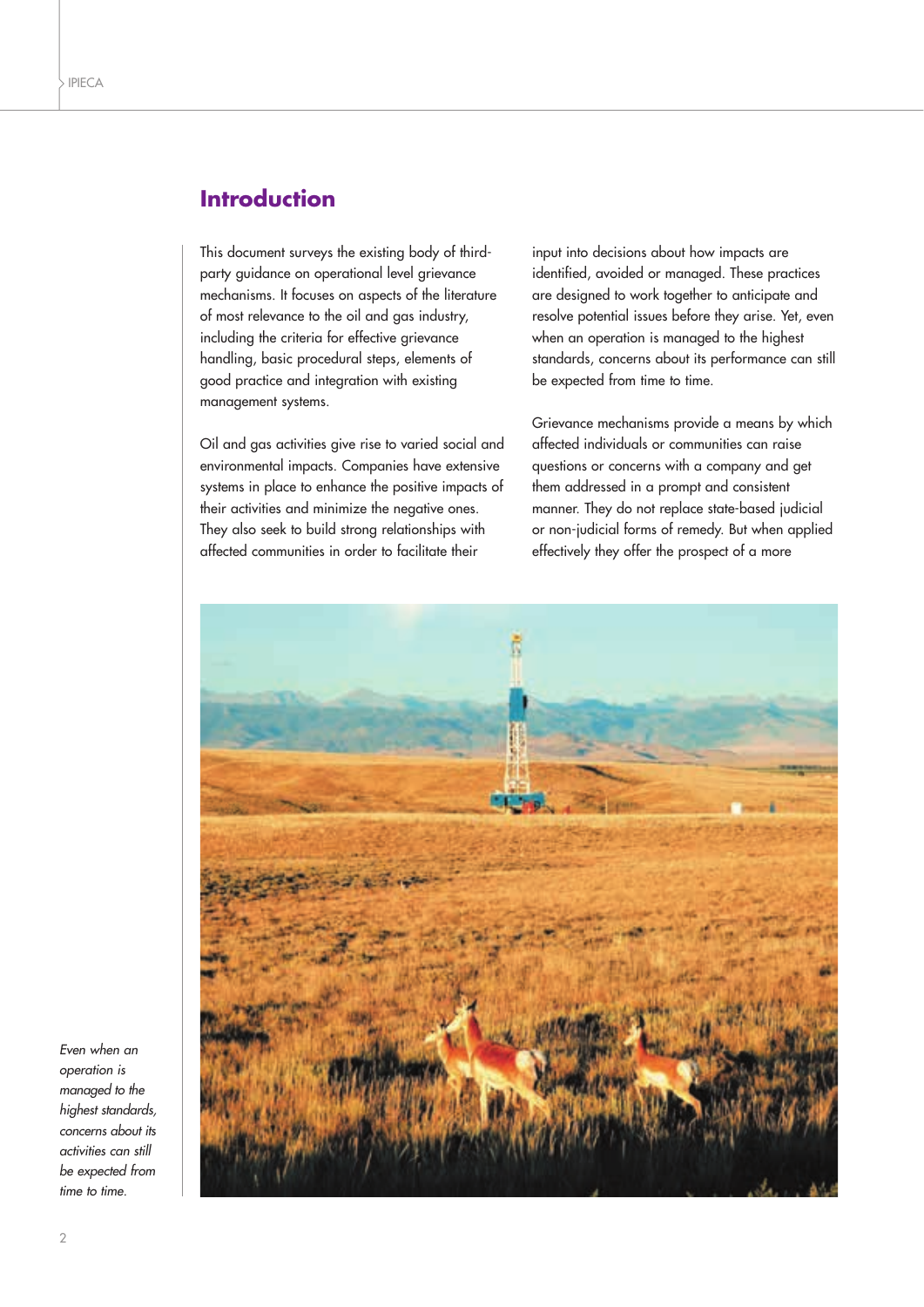## **Introduction**

This document surveys the existing body of thirdparty guidance on operational level grievance mechanisms. It focuses on aspects of the literature of most relevance to the oil and gas industry, including the criteria for effective grievance handling, basic procedural steps, elements of good practice and integration with existing management systems.

Oil and gas activities give rise to varied social and environmental impacts. Companies have extensive systems in place to enhance the positive impacts of their activities and minimize the negative ones. They also seek to build strong relationships with affected communities in order to facilitate their

input into decisions about how impacts are identified, avoided or managed. These practices are designed to work together to anticipate and resolve potential issues before they arise. Yet, even when an operation is managed to the highest standards, concerns about its performance can still be expected from time to time.

Grievance mechanisms provide a means by which affected individuals or communities can raise questions or concerns with a company and get them addressed in a prompt and consistent manner. They do not replace state-based judicial or non-judicial forms of remedy. But when applied effectively they offer the prospect of a more



Even when an operation is managed to the highest standards, concerns about its activities can still be expected from time to time.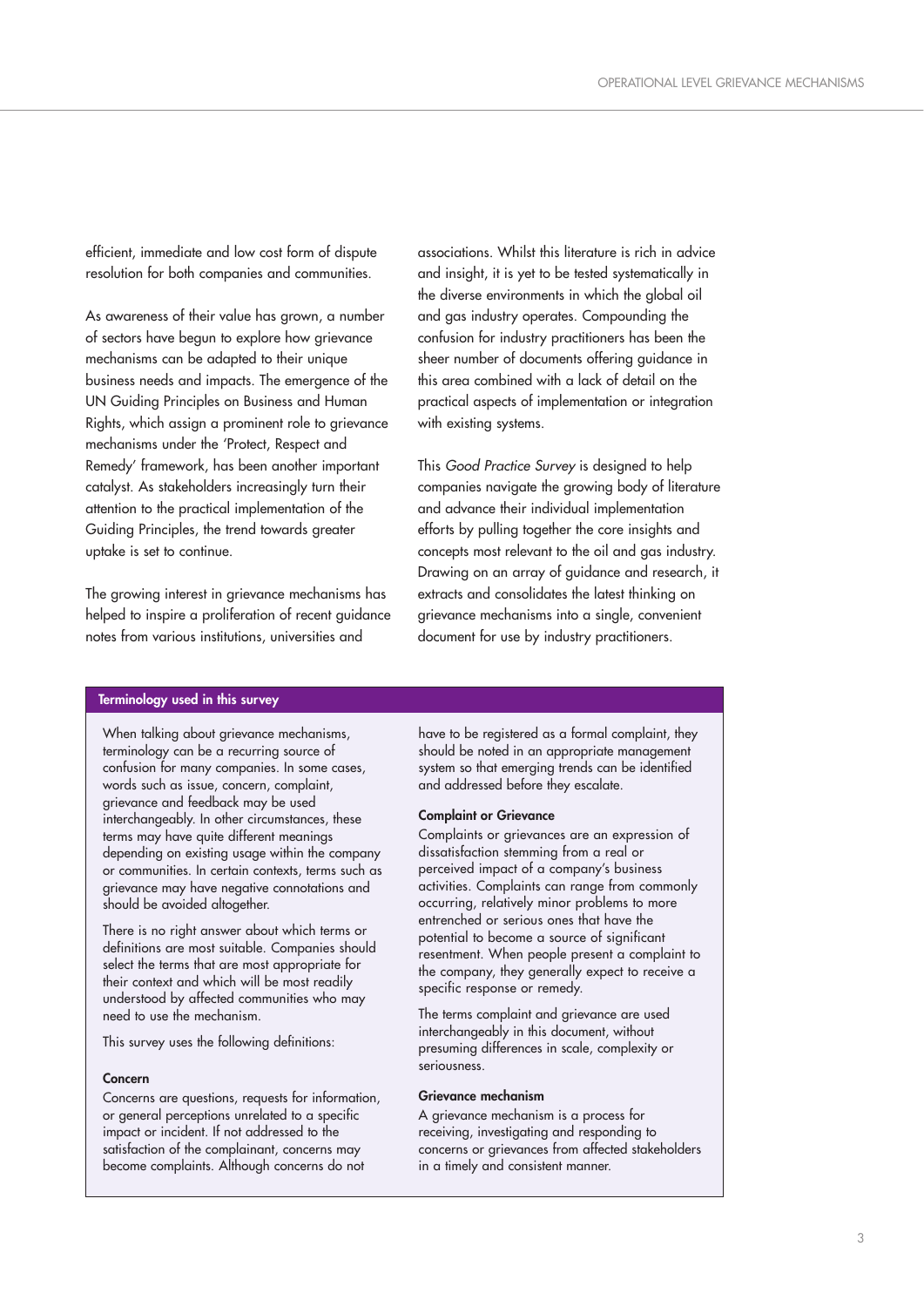efficient, immediate and low cost form of dispute resolution for both companies and communities.

As awareness of their value has grown, a number of sectors have begun to explore how grievance mechanisms can be adapted to their unique business needs and impacts. The emergence of the UN Guiding Principles on Business and Human Rights, which assign a prominent role to grievance mechanisms under the 'Protect, Respect and Remedy' framework, has been another important catalyst. As stakeholders increasingly turn their attention to the practical implementation of the Guiding Principles, the trend towards greater uptake is set to continue.

The growing interest in grievance mechanisms has helped to inspire a proliferation of recent guidance notes from various institutions, universities and

associations. Whilst this literature is rich in advice and insight, it is yet to be tested systematically in the diverse environments in which the global oil and gas industry operates. Compounding the confusion for industry practitioners has been the sheer number of documents offering guidance in this area combined with a lack of detail on the practical aspects of implementation or integration with existing systems.

This Good Practice Survey is designed to help companies navigate the growing body of literature and advance their individual implementation efforts by pulling together the core insights and concepts most relevant to the oil and gas industry. Drawing on an array of guidance and research, it extracts and consolidates the latest thinking on grievance mechanisms into a single, convenient document for use by industry practitioners.

#### **Terminology used in this survey**

When talking about grievance mechanisms, terminology can be a recurring source of confusion for many companies. In some cases, words such as issue, concern, complaint, grievance and feedback may be used interchangeably. In other circumstances, these terms may have quite different meanings depending on existing usage within the company or communities. In certain contexts, terms such as grievance may have negative connotations and should be avoided altogether.

There is no right answer about which terms or definitions are most suitable. Companies should select the terms that are most appropriate for their context and which will be most readily understood by affected communities who may need to use the mechanism.

This survey uses the following definitions:

#### **Concern**

Concerns are questions, requests for information, or general perceptions unrelated to a specific impact or incident. If not addressed to the satisfaction of the complainant, concerns may become complaints. Although concerns do not

have to be registered as a formal complaint, they should be noted in an appropriate management system so that emerging trends can be identified and addressed before they escalate.

#### **Complaint or Grievance**

Complaints or grievances are an expression of dissatisfaction stemming from a real or perceived impact of a company's business activities. Complaints can range from commonly occurring, relatively minor problems to more entrenched or serious ones that have the potential to become a source of significant resentment. When people present a complaint to the company, they generally expect to receive a specific response or remedy.

The terms complaint and grievance are used interchangeably in this document, without presuming differences in scale, complexity or seriousness.

#### **Grievance mechanism**

A grievance mechanism is a process for receiving, investigating and responding to concerns or grievances from affected stakeholders in a timely and consistent manner.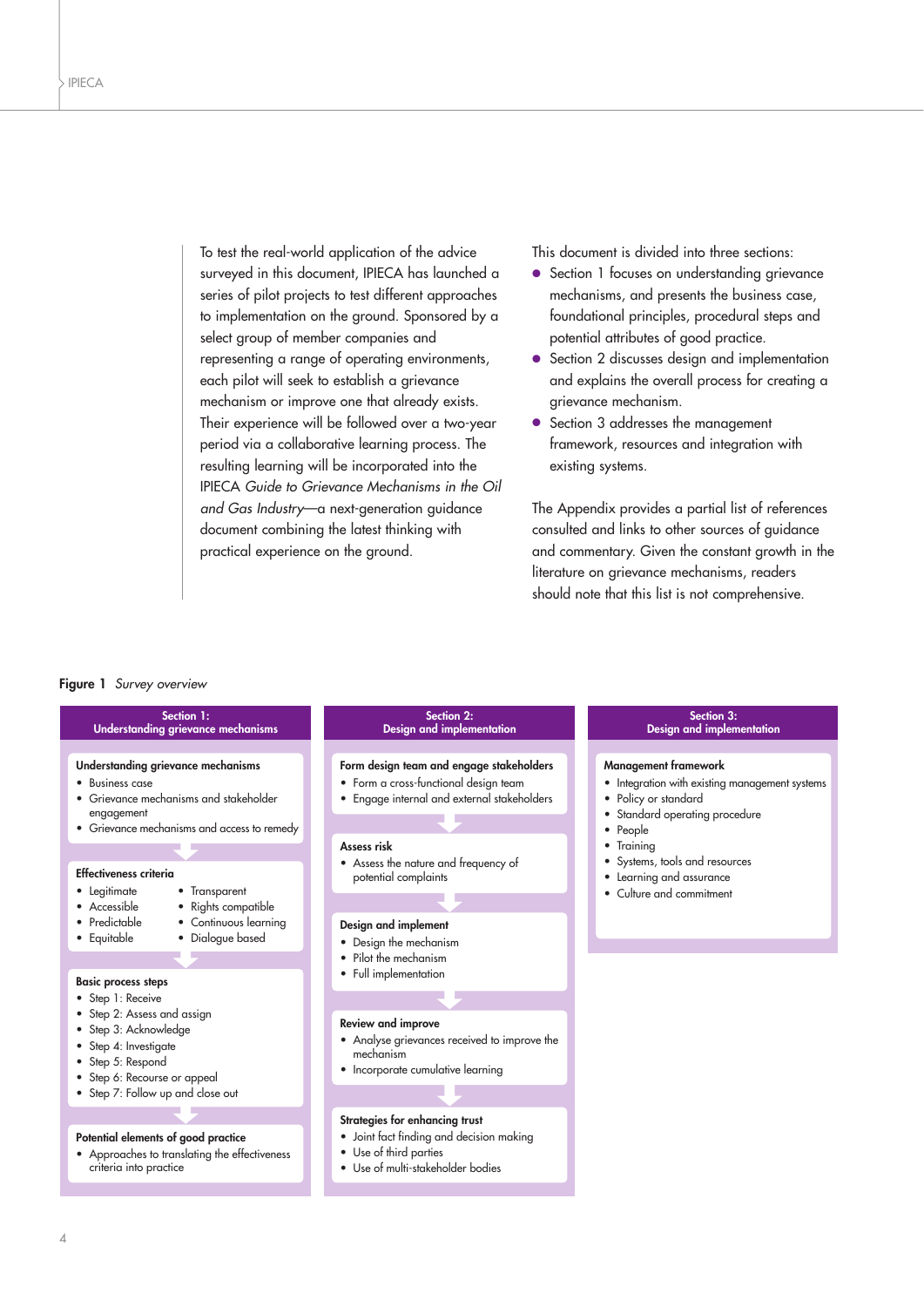To test the real-world application of the advice surveyed in this document, IPIECA has launched a series of pilot projects to test different approaches to implementation on the ground. Sponsored by a select group of member companies and representing a range of operating environments, each pilot will seek to establish a grievance mechanism or improve one that already exists. Their experience will be followed over a two-year period via a collaborative learning process. The resulting learning will be incorporated into the IPIECA Guide to Grievance Mechanisms in the Oil and Gas Industry—a next-generation guidance document combining the latest thinking with practical experience on the ground.

This document is divided into three sections:

- Section 1 focuses on understanding grievance mechanisms, and presents the business case, foundational principles, procedural steps and potential attributes of good practice.
- Section 2 discusses design and implementation and explains the overall process for creating a grievance mechanism.
- Section 3 addresses the management framework, resources and integration with existing systems.

The Appendix provides a partial list of references consulted and links to other sources of guidance and commentary. Given the constant growth in the literature on grievance mechanisms, readers should note that this list is not comprehensive.

#### **Figure 1** Survey overview

| Section 1:<br><b>Understanding grievance mechanisms</b>                                                                                                                                                                                                                                                                                                                                                                                                                                                                                                                          | Section 2:<br><b>Design and implementation</b>                                                                                                                                                                                                                                                                                                                                                                                              | Section 3:<br><b>Design and implementation</b>                                                                                                                                                                                                                     |
|----------------------------------------------------------------------------------------------------------------------------------------------------------------------------------------------------------------------------------------------------------------------------------------------------------------------------------------------------------------------------------------------------------------------------------------------------------------------------------------------------------------------------------------------------------------------------------|---------------------------------------------------------------------------------------------------------------------------------------------------------------------------------------------------------------------------------------------------------------------------------------------------------------------------------------------------------------------------------------------------------------------------------------------|--------------------------------------------------------------------------------------------------------------------------------------------------------------------------------------------------------------------------------------------------------------------|
| Understanding grievance mechanisms<br>• Business case<br>• Grievance mechanisms and stakeholder<br>engagement<br>• Grievance mechanisms and access to remedy<br><b>Effectiveness criteria</b><br>• Legitimate<br>• Transparent<br>• Accessible<br>• Rights compatible<br>• Predictable<br>• Continuous learning<br>• Dialogue based<br>• Equitable<br><b>Basic process steps</b><br>• Step 1: Receive<br>• Step 2: Assess and assign<br>• Step 3: Acknowledge<br>• Step 4: Investigate<br>• Step 5: Respond<br>• Step 6: Recourse or appeal<br>• Step 7: Follow up and close out | Form design team and engage stakeholders<br>• Form a cross-functional design team<br>• Engage internal and external stakeholders<br>Assess risk<br>• Assess the nature and frequency of<br>potential complaints<br>Design and implement<br>• Design the mechanism<br>• Pilot the mechanism<br>• Full implementation<br>Review and improve<br>• Analyse grievances received to improve the<br>mechanism<br>• Incorporate cumulative learning | <b>Management framework</b><br>• Integration with existing management systems<br>• Policy or standard<br>Standard operating procedure<br>People<br>$\bullet$<br>• Training<br>Systems, tools and resources<br>• Learning and assurance<br>• Culture and commitment |
| Potential elements of good practice<br>• Approaches to translating the effectiveness<br>criteria into practice                                                                                                                                                                                                                                                                                                                                                                                                                                                                   | Strategies for enhancing trust<br>· Joint fact finding and decision making<br>• Use of third parties<br>• Use of multi-stakeholder bodies                                                                                                                                                                                                                                                                                                   |                                                                                                                                                                                                                                                                    |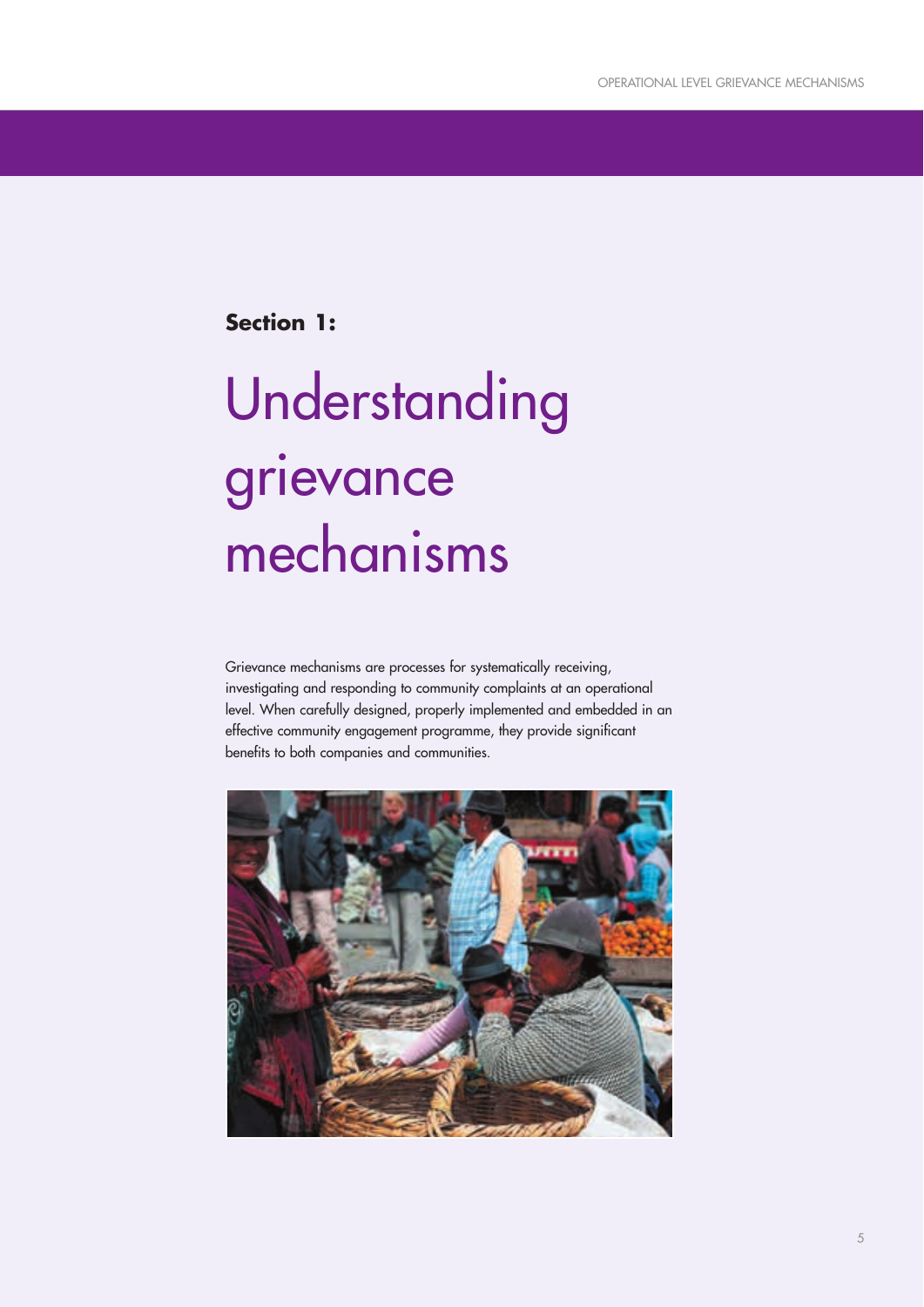**Section 1:**

# Understanding grievance mechanisms

Grievance mechanisms are processes for systematically receiving, investigating and responding to community complaints at an operational level. When carefully designed, properly implemented and embedded in an effective community engagement programme, they provide significant benefits to both companies and communities.

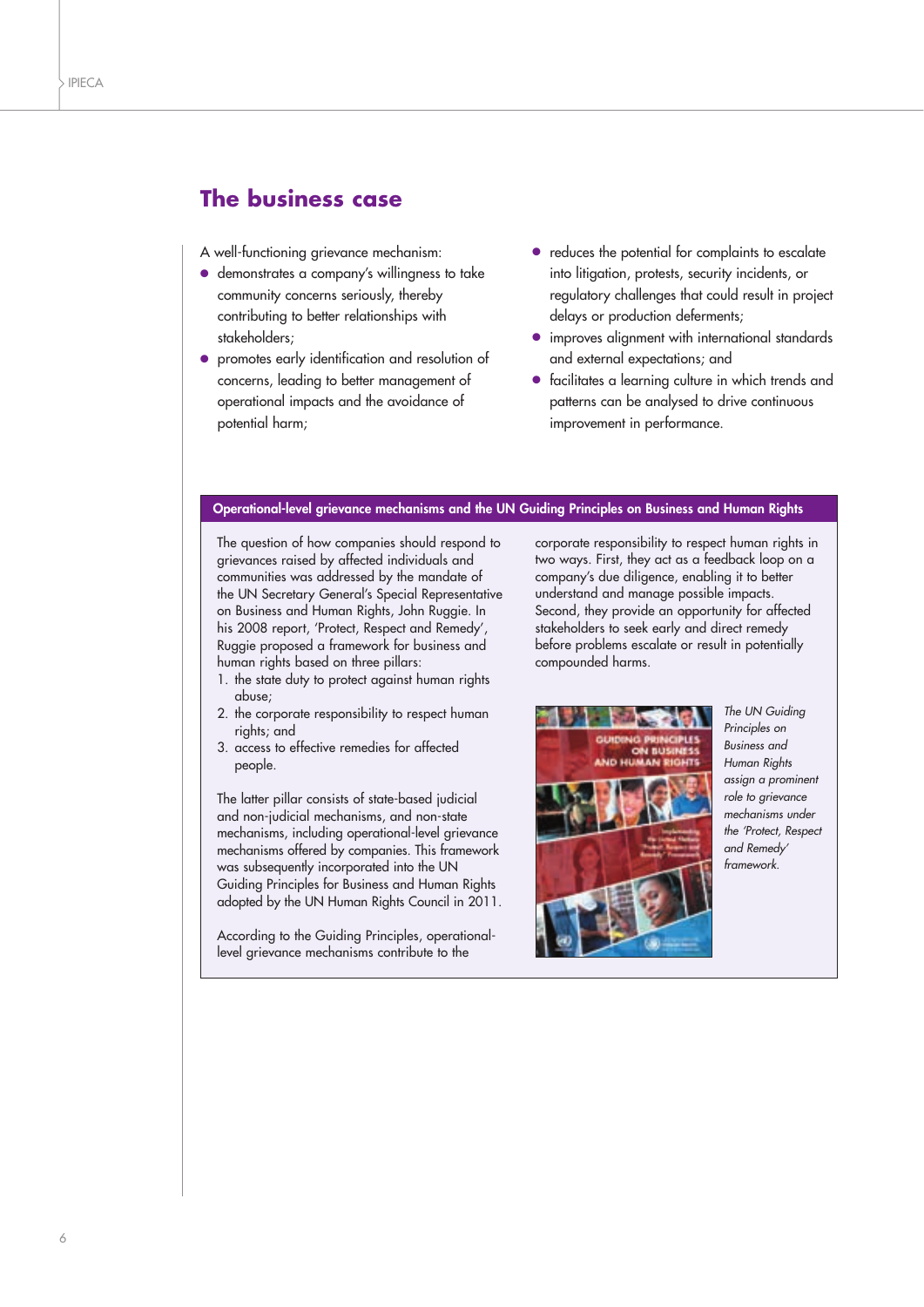## **The business case**

- A well-functioning grievance mechanism:
- demonstrates a company's willingness to take community concerns seriously, thereby contributing to better relationships with stakeholders;
- promotes early identification and resolution of concerns, leading to better management of operational impacts and the avoidance of potential harm;
- reduces the potential for complaints to escalate into litigation, protests, security incidents, or regulatory challenges that could result in project delays or production deferments;
- improves alignment with international standards and external expectations; and
- facilitates a learning culture in which trends and patterns can be analysed to drive continuous improvement in performance.

#### **Operational-level grievance mechanisms and the UN Guiding Principles on Business and Human Rights**

The question of how companies should respond to grievances raised by affected individuals and communities was addressed by the mandate of the UN Secretary General's Special Representative on Business and Human Rights, John Ruggie. In his 2008 report, 'Protect, Respect and Remedy', Ruggie proposed a framework for business and human rights based on three pillars:

- 1. the state duty to protect against human rights abuse;
- 2. the corporate responsibility to respect human rights; and
- 3. access to effective remedies for affected people.

The latter pillar consists of state-based judicial and non-judicial mechanisms, and non-state mechanisms, including operational-level grievance mechanisms offered by companies. This framework was subsequently incorporated into the UN Guiding Principles for Business and Human Rights adopted by the UN Human Rights Council in 2011.

According to the Guiding Principles, operationallevel grievance mechanisms contribute to the

corporate responsibility to respect human rights in two ways. First, they act as a feedback loop on a company's due diligence, enabling it to better understand and manage possible impacts. Second, they provide an opportunity for affected stakeholders to seek early and direct remedy before problems escalate or result in potentially compounded harms.



The UN Guiding Principles on Business and Human Rights assign a prominent role to grievance mechanisms under the 'Protect, Respect and Remedy' framework.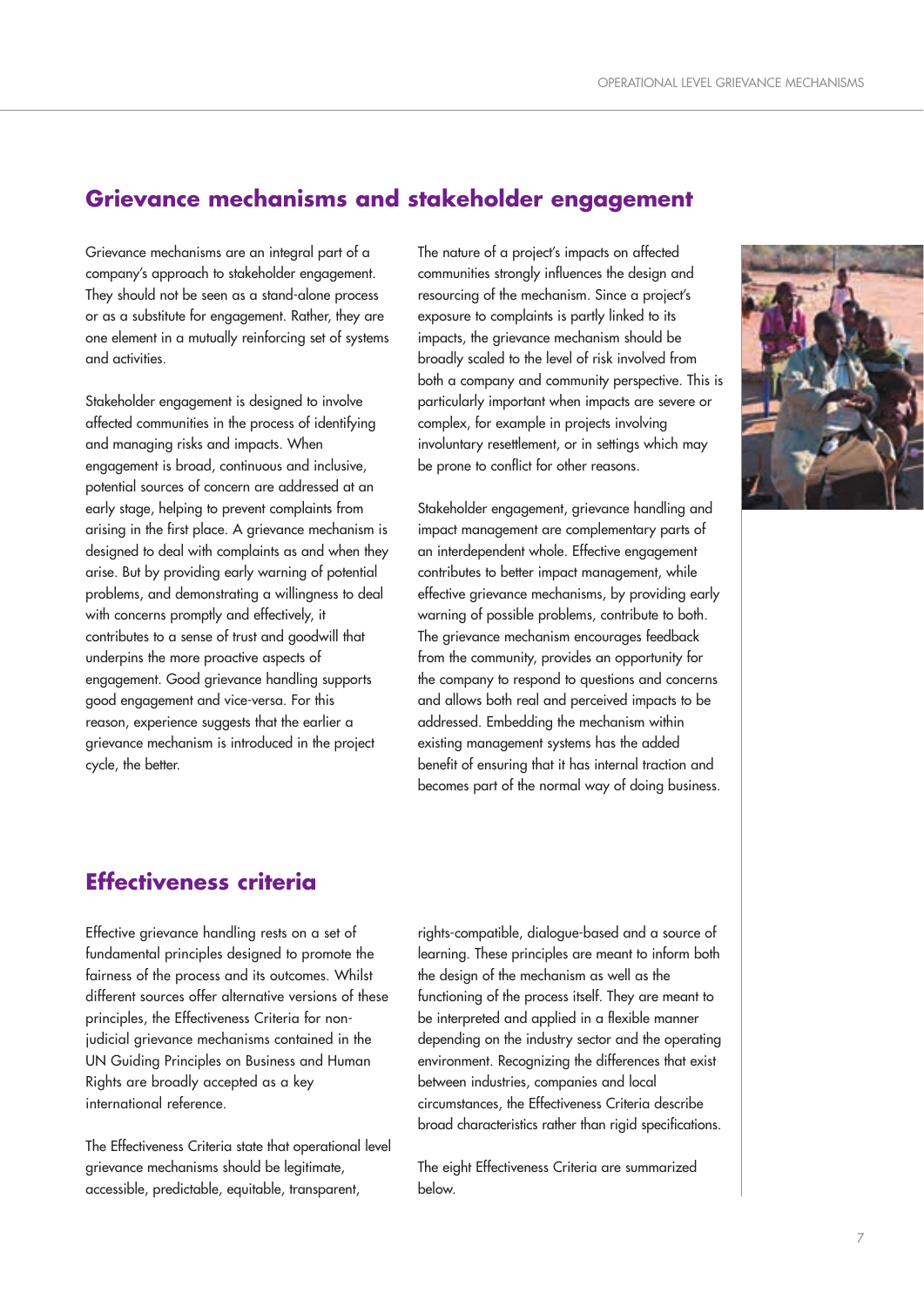## **Grievance mechanisms and stakeholder engagement**

Grievance mechanisms are an integral part of a company's approach to stakeholder engagement. They should not be seen as a stand-alone process or as a substitute for engagement. Rather, they are one element in a mutually reinforcing set of systems and activities.

Stakeholder engagement is designed to involve affected communities in the process of identifying and managing risks and impacts. When engagement is broad, continuous and inclusive, potential sources of concern are addressed at an early stage, helping to prevent complaints from arising in the first place. A grievance mechanism is designed to deal with complaints as and when they arise. But by providing early warning of potential problems, and demonstrating a willingness to deal with concerns promptly and effectively, it contributes to a sense of trust and goodwill that underpins the more proactive aspects of engagement. Good grievance handling supports good engagement and vice-versa. For this reason, experience suggests that the earlier a grievance mechanism is introduced in the project cycle, the better.

The nature of a project's impacts on affected communities strongly influences the design and resourcing of the mechanism. Since a project's exposure to complaints is partly linked to its impacts, the grievance mechanism should be broadly scaled to the level of risk involved from both a company and community perspective. This is particularly important when impacts are severe or complex, for example in projects involving involuntary resettlement, or in settings which may be prone to conflict for other reasons.

Stakeholder engagement, grievance handling and impact management are complementary parts of an interdependent whole. Effective engagement contributes to better impact management, while effective grievance mechanisms, by providing early warning of possible problems, contribute to both. The grievance mechanism encourages feedback from the community, provides an opportunity for the company to respond to questions and concerns and allows both real and perceived impacts to be addressed. Embedding the mechanism within existing management systems has the added benefit of ensuring that it has internal traction and becomes part of the normal way of doing business.

## **Effectiveness criteria**

Effective grievance handling rests on a set of fundamental principles designed to promote the fairness of the process and its outcomes. Whilst different sources offer alternative versions of these principles, the Effectiveness Criteria for nonjudicial grievance mechanisms contained in the UN Guiding Principles on Business and Human Rights are broadly accepted as a key international reference.

The Effectiveness Criteria state that operational level grievance mechanisms should be legitimate, accessible, predictable, equitable, transparent,

rights-compatible, dialogue-based and a source of learning. These principles are meant to inform both the design of the mechanism as well as the functioning of the process itself. They are meant to be interpreted and applied in a flexible manner depending on the industry sector and the operating environment. Recognizing the differences that exist between industries, companies and local circumstances, the Effectiveness Criteria describe broad characteristics rather than rigid specifications.

The eight Effectiveness Criteria are summarized below.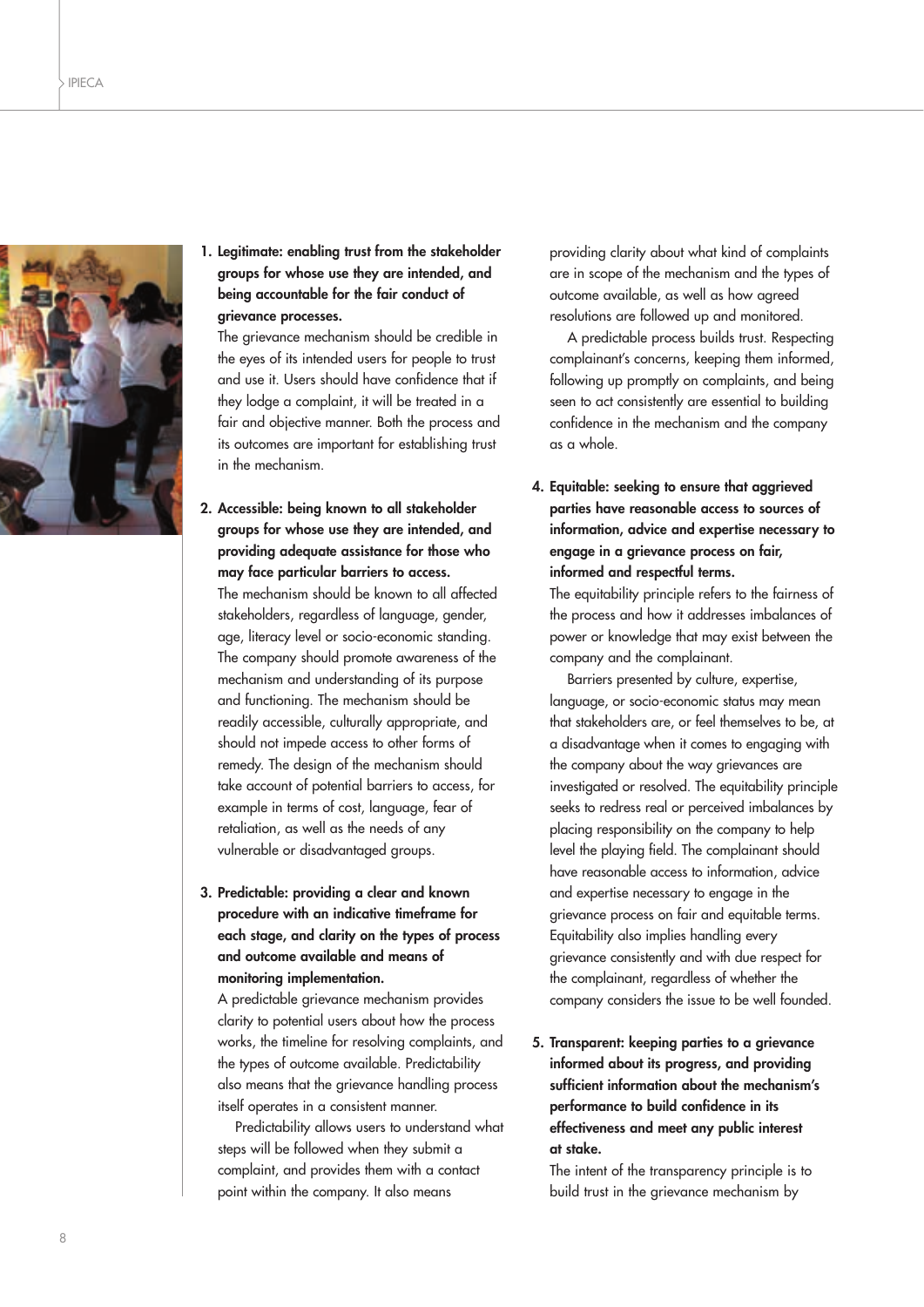

**1. Legitimate: enabling trust from the stakeholder groups for whose use they are intended, and being accountable for the fair conduct of grievance processes.**

The grievance mechanism should be credible in the eyes of its intended users for people to trust and use it. Users should have confidence that if they lodge a complaint, it will be treated in a fair and objective manner. Both the process and its outcomes are important for establishing trust in the mechanism.

- **2. Accessible: being known to all stakeholder groups for whose use they are intended, and providing adequate assistance for those who may face particular barriers to access.** The mechanism should be known to all affected stakeholders, regardless of language, gender, age, literacy level or socio-economic standing. The company should promote awareness of the mechanism and understanding of its purpose and functioning. The mechanism should be readily accessible, culturally appropriate, and should not impede access to other forms of remedy. The design of the mechanism should take account of potential barriers to access, for example in terms of cost, language, fear of retaliation, as well as the needs of any vulnerable or disadvantaged groups.
- **3. Predictable: providing a clear and known procedure with an indicative timeframe for each stage, and clarity on the types of process and outcome available and means of monitoring implementation.**

A predictable grievance mechanism provides clarity to potential users about how the process works, the timeline for resolving complaints, and the types of outcome available. Predictability also means that the grievance handling process itself operates in a consistent manner.

Predictability allows users to understand what steps will be followed when they submit a complaint, and provides them with a contact point within the company. It also means

providing clarity about what kind of complaints are in scope of the mechanism and the types of outcome available, as well as how agreed resolutions are followed up and monitored.

A predictable process builds trust. Respecting complainant's concerns, keeping them informed, following up promptly on complaints, and being seen to act consistently are essential to building confidence in the mechanism and the company as a whole.

**4. Equitable: seeking to ensure that aggrieved parties have reasonable access to sources of information, advice and expertise necessary to engage in a grievance process on fair, informed and respectful terms.**

The equitability principle refers to the fairness of the process and how it addresses imbalances of power or knowledge that may exist between the company and the complainant.

Barriers presented by culture, expertise, language, or socio-economic status may mean that stakeholders are, or feel themselves to be, at a disadvantage when it comes to engaging with the company about the way grievances are investigated or resolved. The equitability principle seeks to redress real or perceived imbalances by placing responsibility on the company to help level the playing field. The complainant should have reasonable access to information, advice and expertise necessary to engage in the grievance process on fair and equitable terms. Equitability also implies handling every grievance consistently and with due respect for the complainant, regardless of whether the company considers the issue to be well founded.

**5. Transparent: keeping parties to a grievance informed about its progress, and providing sufficient information about the mechanism's performance to build confidence in its effectiveness and meet any public interest at stake.**

The intent of the transparency principle is to build trust in the grievance mechanism by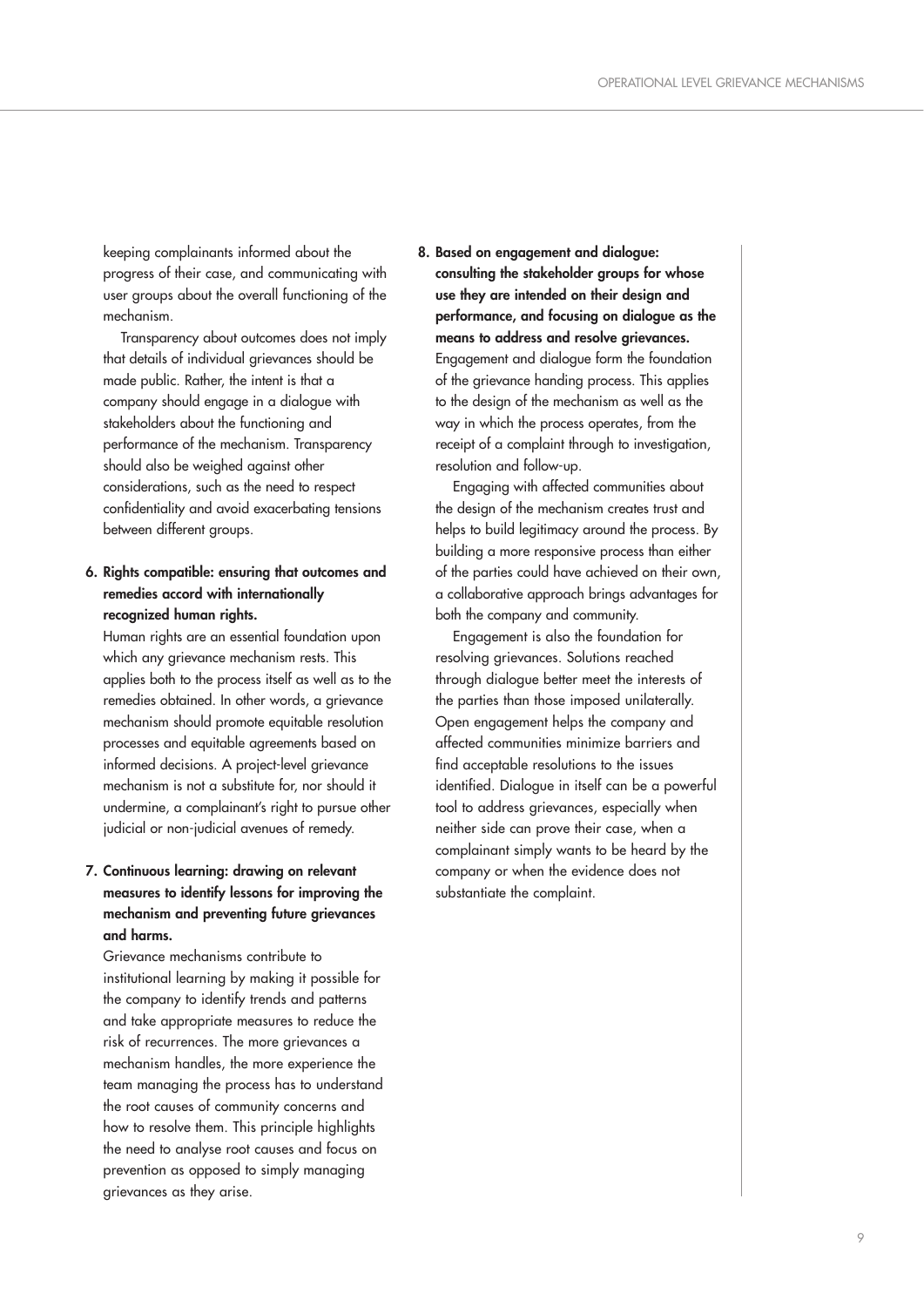keeping complainants informed about the progress of their case, and communicating with user groups about the overall functioning of the mechanism.

Transparency about outcomes does not imply that details of individual grievances should be made public. Rather, the intent is that a company should engage in a dialogue with stakeholders about the functioning and performance of the mechanism. Transparency should also be weighed against other considerations, such as the need to respect confidentiality and avoid exacerbating tensions between different groups.

#### **6. Rights compatible: ensuring that outcomes and remedies accord with internationally recognized human rights.**

Human rights are an essential foundation upon which any grievance mechanism rests. This applies both to the process itself as well as to the remedies obtained. In other words, a grievance mechanism should promote equitable resolution processes and equitable agreements based on informed decisions. A project-level grievance mechanism is not a substitute for, nor should it undermine, a complainant's right to pursue other judicial or non-judicial avenues of remedy.

## **7. Continuous learning: drawing on relevant measures to identify lessons for improving the mechanism and preventing future grievances and harms.**

Grievance mechanisms contribute to institutional learning by making it possible for the company to identify trends and patterns and take appropriate measures to reduce the risk of recurrences. The more grievances a mechanism handles, the more experience the team managing the process has to understand the root causes of community concerns and how to resolve them. This principle highlights the need to analyse root causes and focus on prevention as opposed to simply managing grievances as they arise.

**8. Based on engagement and dialogue: consulting the stakeholder groups for whose use they are intended on their design and performance, and focusing on dialogue as the means to address and resolve grievances.** Engagement and dialogue form the foundation of the grievance handing process. This applies to the design of the mechanism as well as the way in which the process operates, from the receipt of a complaint through to investigation, resolution and follow-up.

Engaging with affected communities about the design of the mechanism creates trust and helps to build legitimacy around the process. By building a more responsive process than either of the parties could have achieved on their own, a collaborative approach brings advantages for both the company and community.

Engagement is also the foundation for resolving grievances. Solutions reached through dialogue better meet the interests of the parties than those imposed unilaterally. Open engagement helps the company and affected communities minimize barriers and find acceptable resolutions to the issues identified. Dialogue in itself can be a powerful tool to address grievances, especially when neither side can prove their case, when a complainant simply wants to be heard by the company or when the evidence does not substantiate the complaint.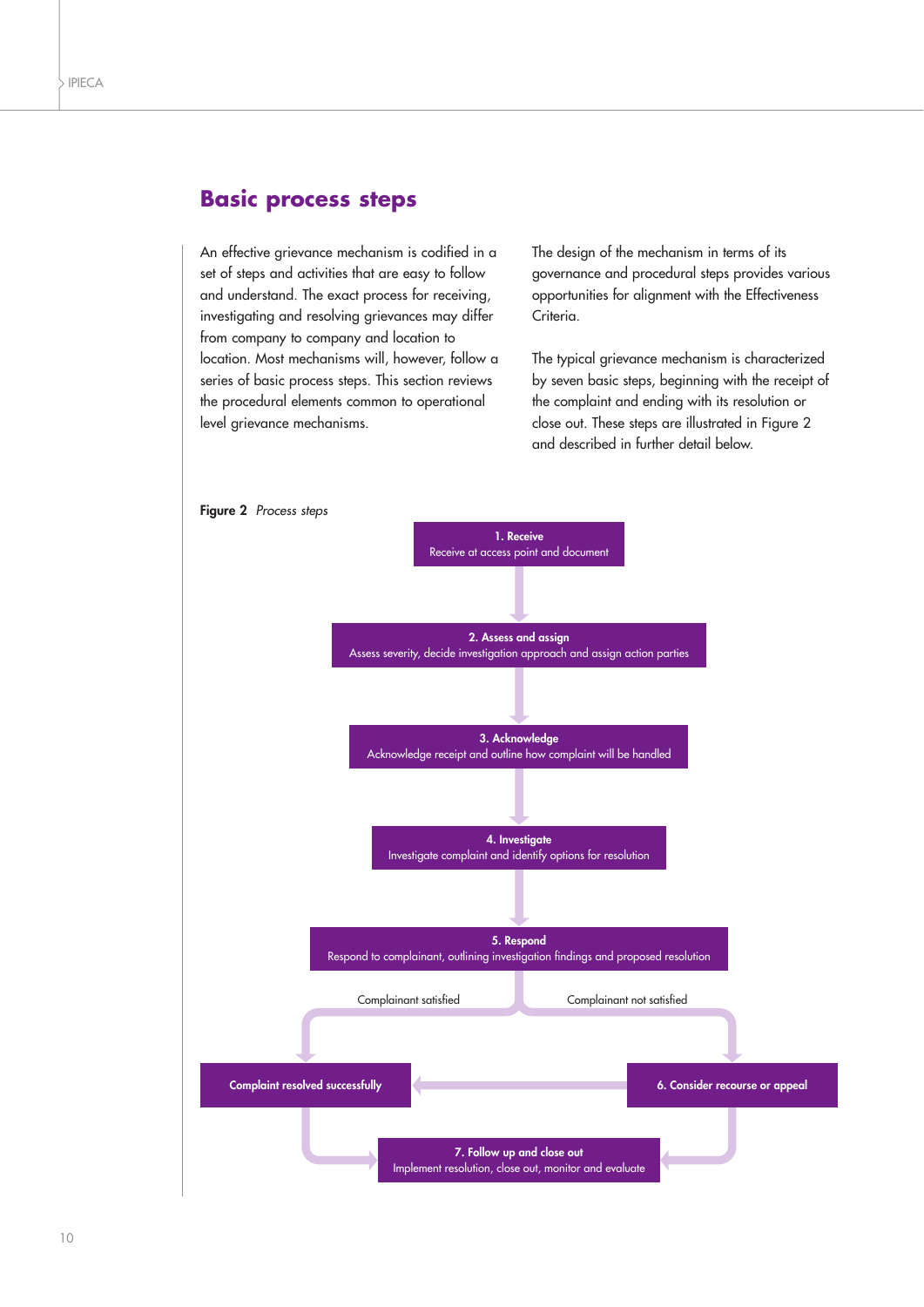## **Basic process steps**

An effective grievance mechanism is codified in a set of steps and activities that are easy to follow and understand. The exact process for receiving, investigating and resolving grievances may differ from company to company and location to location. Most mechanisms will, however, follow a series of basic process steps. This section reviews the procedural elements common to operational level grievance mechanisms.

The design of the mechanism in terms of its governance and procedural steps provides various opportunities for alignment with the Effectiveness Criteria.

The typical grievance mechanism is characterized by seven basic steps, beginning with the receipt of the complaint and ending with its resolution or close out. These steps are illustrated in Figure 2 and described in further detail below.

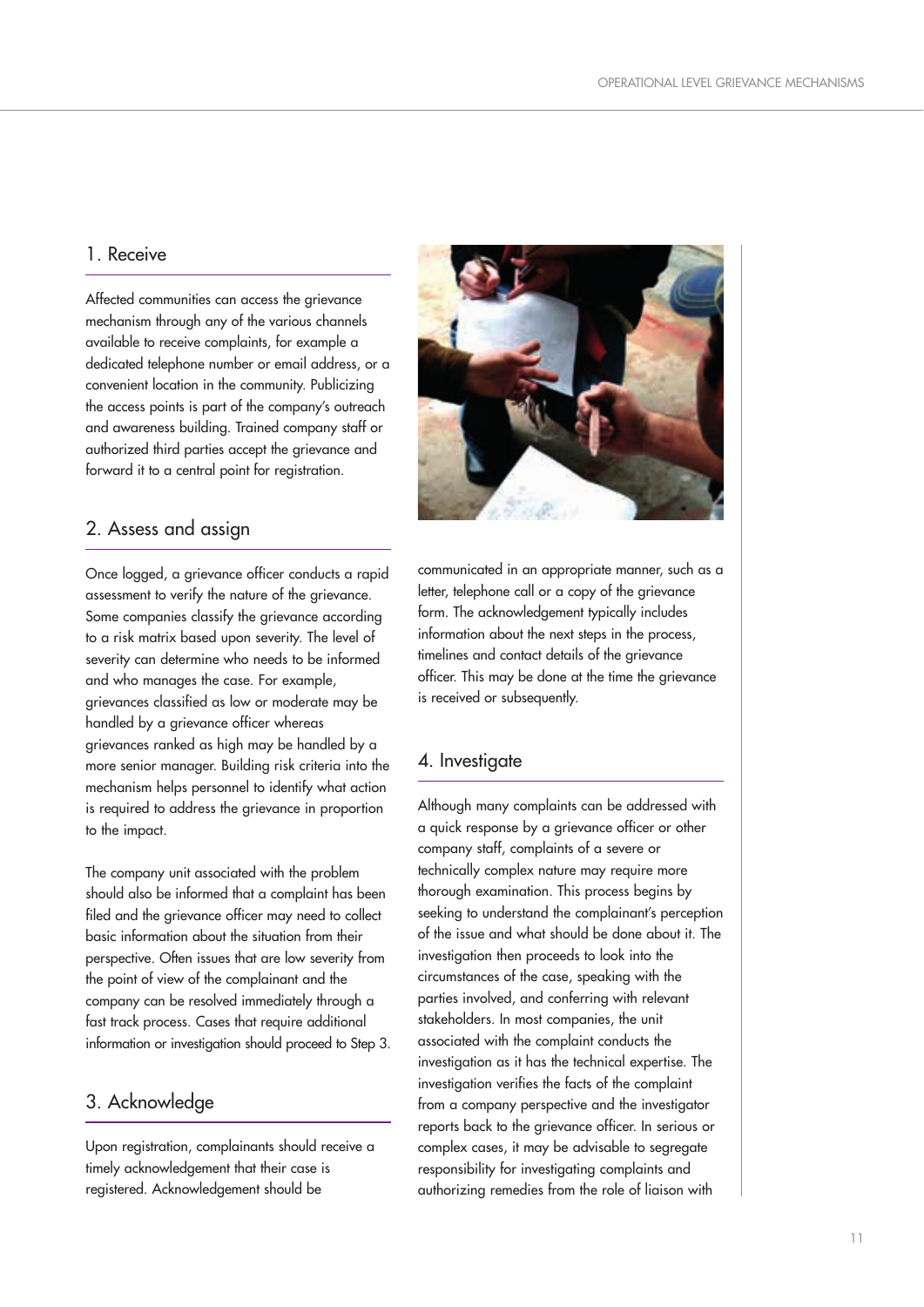### 1. Receive

Affected communities can access the grievance mechanism through any of the various channels available to receive complaints, for example a dedicated telephone number or email address, or a convenient location in the community. Publicizing the access points is part of the company's outreach and awareness building. Trained company staff or authorized third parties accept the grievance and forward it to a central point for registration.

## 2. Assess and assign

Once logged, a grievance officer conducts a rapid assessment to verify the nature of the grievance. Some companies classify the grievance according to a risk matrix based upon severity. The level of severity can determine who needs to be informed and who manages the case. For example, grievances classified as low or moderate may be handled by a grievance officer whereas grievances ranked as high may be handled by a more senior manager. Building risk criteria into the mechanism helps personnel to identify what action is required to address the grievance in proportion to the impact.

The company unit associated with the problem should also be informed that a complaint has been filed and the grievance officer may need to collect basic information about the situation from their perspective. Often issues that are low severity from the point of view of the complainant and the company can be resolved immediately through a fast track process. Cases that require additional information or investigation should proceed to Step 3.

## 3. Acknowledge

Upon registration, complainants should receive a timely acknowledgement that their case is registered. Acknowledgement should be



communicated in an appropriate manner, such as a letter, telephone call or a copy of the grievance form. The acknowledgement typically includes information about the next steps in the process, timelines and contact details of the grievance officer. This may be done at the time the grievance is received or subsequently.

#### 4. Investigate

Although many complaints can be addressed with a quick response by a grievance officer or other company staff, complaints of a severe or technically complex nature may require more thorough examination. This process begins by seeking to understand the complainant's perception of the issue and what should be done about it. The investigation then proceeds to look into the circumstances of the case, speaking with the parties involved, and conferring with relevant stakeholders. In most companies, the unit associated with the complaint conducts the investigation as it has the technical expertise. The investigation verifies the facts of the complaint from a company perspective and the investigator reports back to the grievance officer. In serious or complex cases, it may be advisable to segregate responsibility for investigating complaints and authorizing remedies from the role of liaison with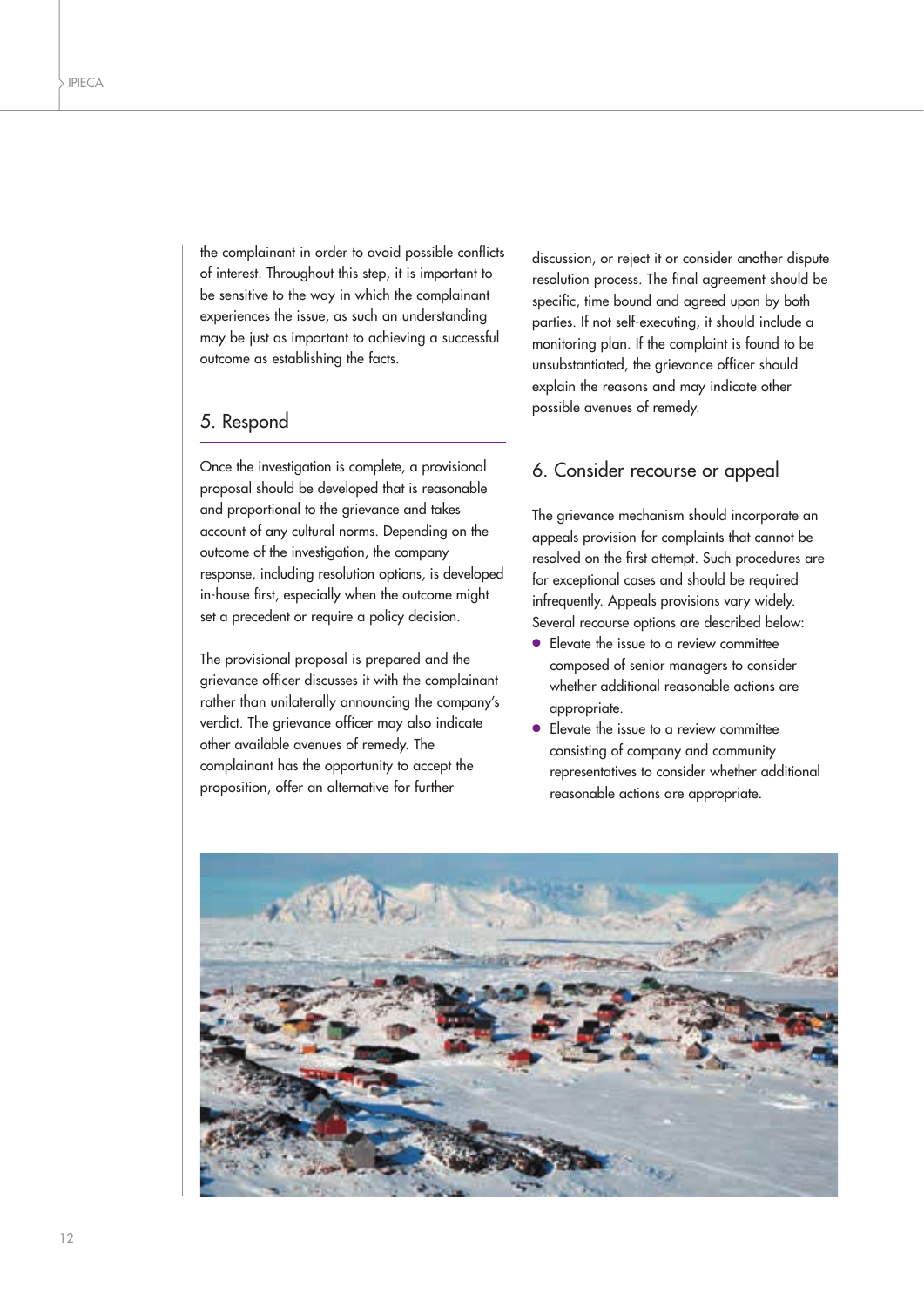the complainant in order to avoid possible conflicts of interest. Throughout this step, it is important to be sensitive to the way in which the complainant experiences the issue, as such an understanding may be just as important to achieving a successful outcome as establishing the facts.

## 5. Respond

Once the investigation is complete, a provisional proposal should be developed that is reasonable and proportional to the grievance and takes account of any cultural norms. Depending on the outcome of the investigation, the company response, including resolution options, is developed in-house first, especially when the outcome might set a precedent or require a policy decision.

The provisional proposal is prepared and the grievance officer discusses it with the complainant rather than unilaterally announcing the company's verdict. The grievance officer may also indicate other available avenues of remedy. The complainant has the opportunity to accept the proposition, offer an alternative for further

discussion, or reject it or consider another dispute resolution process. The final agreement should be specific, time bound and agreed upon by both parties. If not self-executing, it should include a monitoring plan. If the complaint is found to be unsubstantiated, the grievance officer should explain the reasons and may indicate other possible avenues of remedy.

## 6. Consider recourse or appeal

The grievance mechanism should incorporate an appeals provision for complaints that cannot be resolved on the first attempt. Such procedures are for exceptional cases and should be required infrequently. Appeals provisions vary widely. Several recourse options are described below:

- Elevate the issue to a review committee composed of senior managers to consider whether additional reasonable actions are appropriate.
- Elevate the issue to a review committee consisting of company and community representatives to consider whether additional reasonable actions are appropriate.

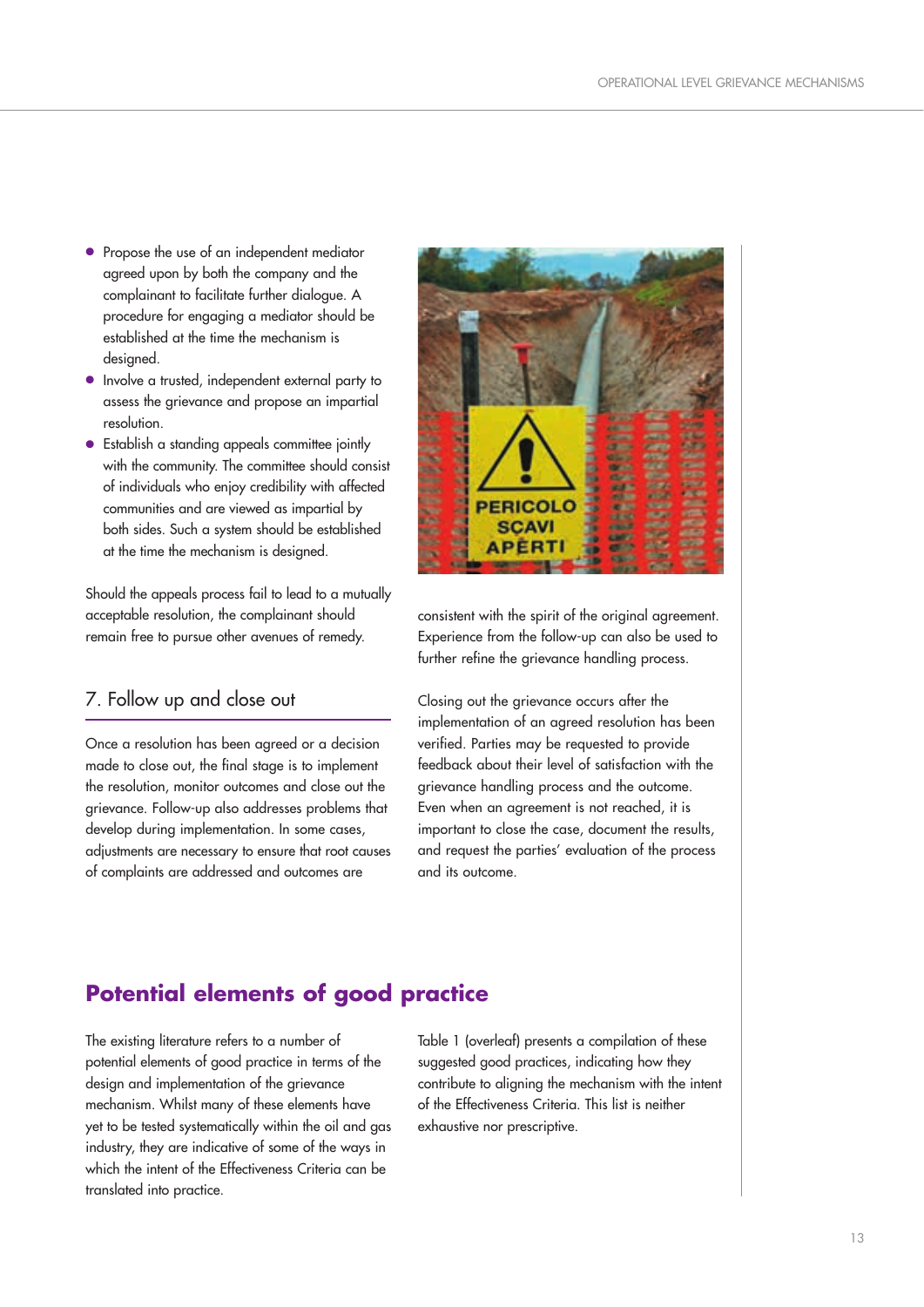- Propose the use of an independent mediator agreed upon by both the company and the complainant to facilitate further dialogue. A procedure for engaging a mediator should be established at the time the mechanism is desianed.
- Involve a trusted, independent external party to assess the grievance and propose an impartial resolution.
- Establish a standing appeals committee jointly with the community. The committee should consist of individuals who enjoy credibility with affected communities and are viewed as impartial by both sides. Such a system should be established at the time the mechanism is designed.

Should the appeals process fail to lead to a mutually acceptable resolution, the complainant should remain free to pursue other avenues of remedy.

## 7. Follow up and close out

Once a resolution has been agreed or a decision made to close out, the final stage is to implement the resolution, monitor outcomes and close out the grievance. Follow-up also addresses problems that develop during implementation. In some cases, adjustments are necessary to ensure that root causes of complaints are addressed and outcomes are



consistent with the spirit of the original agreement. Experience from the follow-up can also be used to further refine the grievance handling process.

Closing out the grievance occurs after the implementation of an agreed resolution has been verified. Parties may be requested to provide feedback about their level of satisfaction with the grievance handling process and the outcome. Even when an agreement is not reached, it is important to close the case, document the results, and request the parties' evaluation of the process and its outcome.

## **Potential elements of good practice**

The existing literature refers to a number of potential elements of good practice in terms of the design and implementation of the grievance mechanism. Whilst many of these elements have yet to be tested systematically within the oil and gas industry, they are indicative of some of the ways in which the intent of the Effectiveness Criteria can be translated into practice.

Table 1 (overleaf) presents a compilation of these suggested good practices, indicating how they contribute to aligning the mechanism with the intent of the Effectiveness Criteria. This list is neither exhaustive nor prescriptive.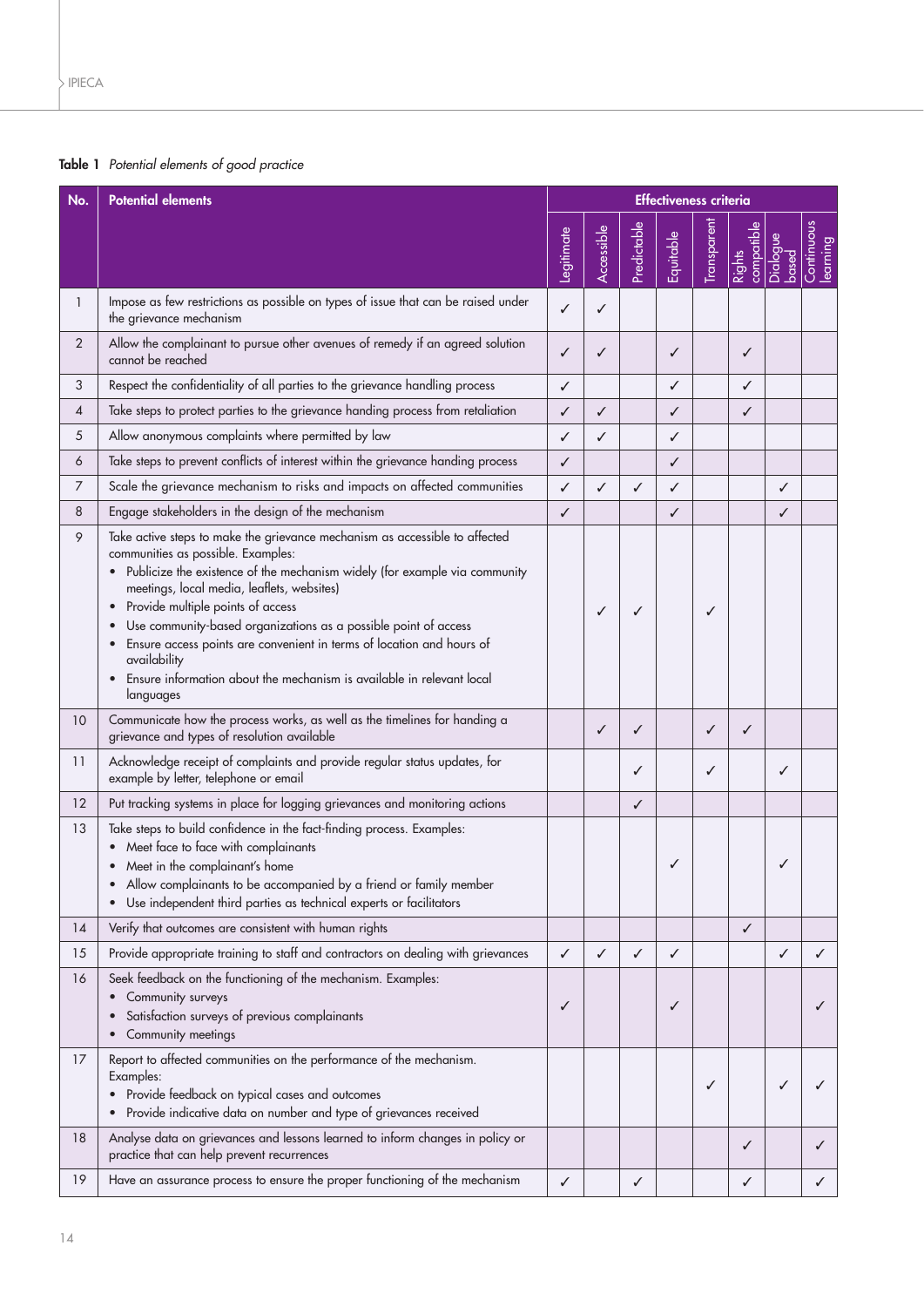## **Table 1** Potential elements of good practice

| No.            | <b>Potential elements</b>                                                                                                                                                                                                                                                                                                                                                                                                                                                                                                                             | <b>Effectiveness criteria</b> |              |             |           |             |                      |                   |                        |
|----------------|-------------------------------------------------------------------------------------------------------------------------------------------------------------------------------------------------------------------------------------------------------------------------------------------------------------------------------------------------------------------------------------------------------------------------------------------------------------------------------------------------------------------------------------------------------|-------------------------------|--------------|-------------|-----------|-------------|----------------------|-------------------|------------------------|
|                |                                                                                                                                                                                                                                                                                                                                                                                                                                                                                                                                                       | Legitimate                    | Accessible   | Predictable | Equitable | Transparent | compatible<br>Rights | Dialogue<br>based | Continuous<br>learning |
| $\mathbf{1}$   | Impose as few restrictions as possible on types of issue that can be raised under<br>the grievance mechanism                                                                                                                                                                                                                                                                                                                                                                                                                                          | $\checkmark$                  | ✓            |             |           |             |                      |                   |                        |
| $\overline{2}$ | Allow the complainant to pursue other avenues of remedy if an agreed solution<br>cannot be reached                                                                                                                                                                                                                                                                                                                                                                                                                                                    | ✓                             | ✓            |             | ✓         |             | ✓                    |                   |                        |
| 3              | Respect the confidentiality of all parties to the grievance handling process                                                                                                                                                                                                                                                                                                                                                                                                                                                                          | ✓                             |              |             | ✓         |             | ✓                    |                   |                        |
| 4              | Take steps to protect parties to the grievance handing process from retaliation                                                                                                                                                                                                                                                                                                                                                                                                                                                                       | ✓                             | $\checkmark$ |             | ✓         |             | ✓                    |                   |                        |
| 5              | Allow anonymous complaints where permitted by law                                                                                                                                                                                                                                                                                                                                                                                                                                                                                                     | ✓                             | ✓            |             | ✓         |             |                      |                   |                        |
| 6              | Take steps to prevent conflicts of interest within the grievance handing process                                                                                                                                                                                                                                                                                                                                                                                                                                                                      | ✓                             |              |             | ✓         |             |                      |                   |                        |
| 7              | Scale the grievance mechanism to risks and impacts on affected communities                                                                                                                                                                                                                                                                                                                                                                                                                                                                            | ✓                             | ✓            | ✓           | ✓         |             |                      | ✓                 |                        |
| 8              | Engage stakeholders in the design of the mechanism                                                                                                                                                                                                                                                                                                                                                                                                                                                                                                    | ✓                             |              |             | ✓         |             |                      | ✓                 |                        |
| 9              | Take active steps to make the grievance mechanism as accessible to affected<br>communities as possible. Examples:<br>• Publicize the existence of the mechanism widely (for example via community<br>meetings, local media, leaflets, websites)<br>• Provide multiple points of access<br>Use community-based organizations as a possible point of access<br>Ensure access points are convenient in terms of location and hours of<br>$\bullet$<br>availability<br>Ensure information about the mechanism is available in relevant local<br>languages |                               | ✓            | ✓           |           | ✓           |                      |                   |                        |
| 10             | Communicate how the process works, as well as the timelines for handing a<br>grievance and types of resolution available                                                                                                                                                                                                                                                                                                                                                                                                                              |                               | ✓            | ✓           |           | ✓           | ✓                    |                   |                        |
| 11             | Acknowledge receipt of complaints and provide regular status updates, for<br>example by letter, telephone or email                                                                                                                                                                                                                                                                                                                                                                                                                                    |                               |              | ✓           |           | ✓           |                      | ✓                 |                        |
| 12             | Put tracking systems in place for logging grievances and monitoring actions                                                                                                                                                                                                                                                                                                                                                                                                                                                                           |                               |              | ✓           |           |             |                      |                   |                        |
| 13             | Take steps to build confidence in the fact-finding process. Examples:<br>• Meet face to face with complainants<br>• Meet in the complainant's home<br>Allow complainants to be accompanied by a friend or family member<br>Use independent third parties as technical experts or facilitators                                                                                                                                                                                                                                                         |                               |              |             |           |             |                      | ✓                 |                        |
| 14             | Verify that outcomes are consistent with human rights                                                                                                                                                                                                                                                                                                                                                                                                                                                                                                 |                               |              |             |           |             | ✓                    |                   |                        |
| 15             | Provide appropriate training to staff and contractors on dealing with grievances                                                                                                                                                                                                                                                                                                                                                                                                                                                                      | ✓                             | ✓            | ✓           | ✓         |             |                      | ✓                 | ✓                      |
| 16             | Seek feedback on the functioning of the mechanism. Examples:<br>Community surveys<br>$\bullet$<br>Satisfaction surveys of previous complainants<br>Community meetings                                                                                                                                                                                                                                                                                                                                                                                 | ✓                             |              |             | ✓         |             |                      |                   |                        |
| 17             | Report to affected communities on the performance of the mechanism.<br>Examples:<br>• Provide feedback on typical cases and outcomes<br>• Provide indicative data on number and type of grievances received                                                                                                                                                                                                                                                                                                                                           |                               |              |             |           | ✓           |                      | ✓                 |                        |
| 18             | Analyse data on grievances and lessons learned to inform changes in policy or<br>practice that can help prevent recurrences                                                                                                                                                                                                                                                                                                                                                                                                                           |                               |              |             |           |             | ✓                    |                   |                        |
| 19             | Have an assurance process to ensure the proper functioning of the mechanism                                                                                                                                                                                                                                                                                                                                                                                                                                                                           | ✓                             |              | ✓           |           |             | ✓                    |                   | ✓                      |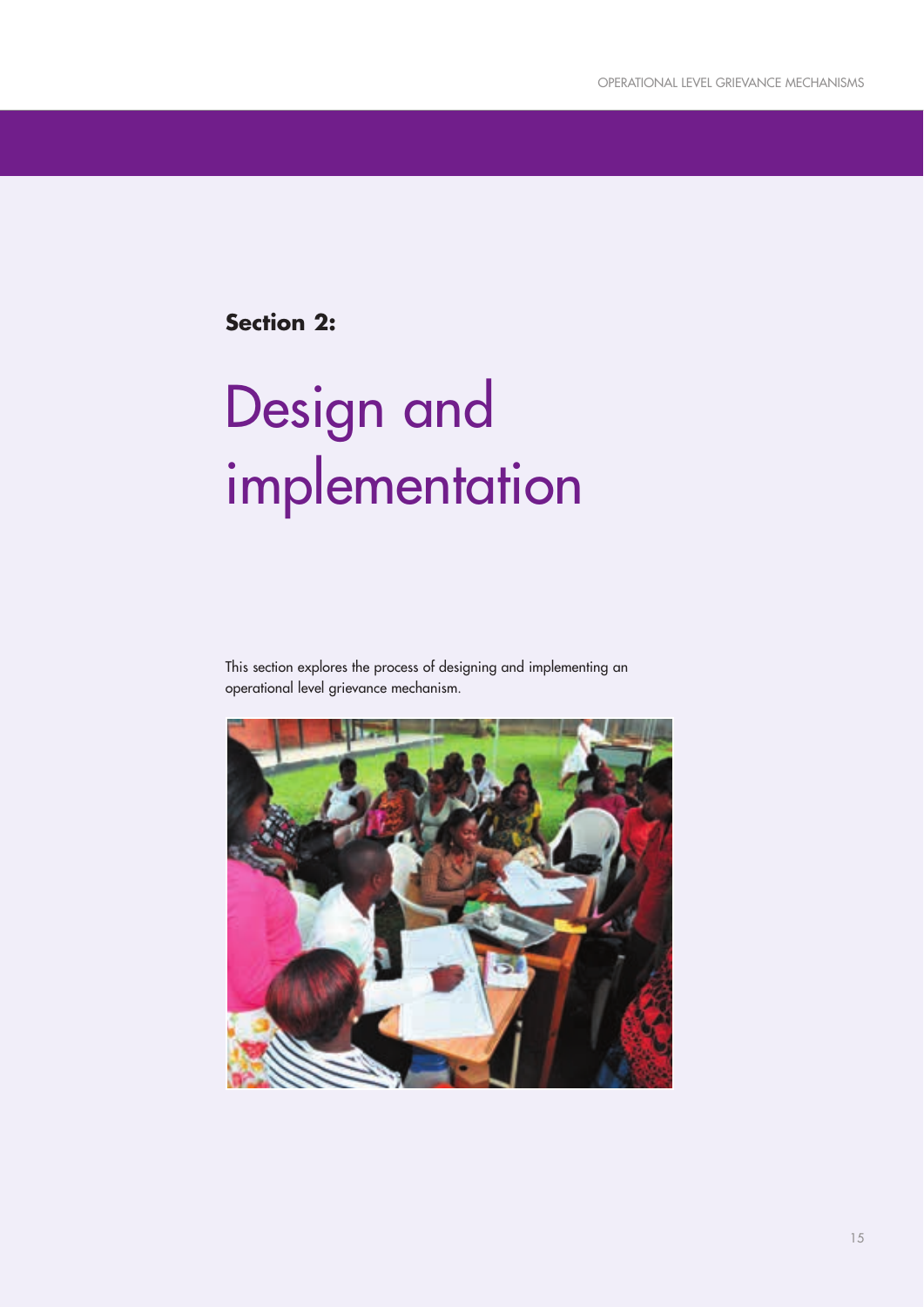**Section 2:**

# Design and implementation

This section explores the process of designing and implementing an operational level grievance mechanism.

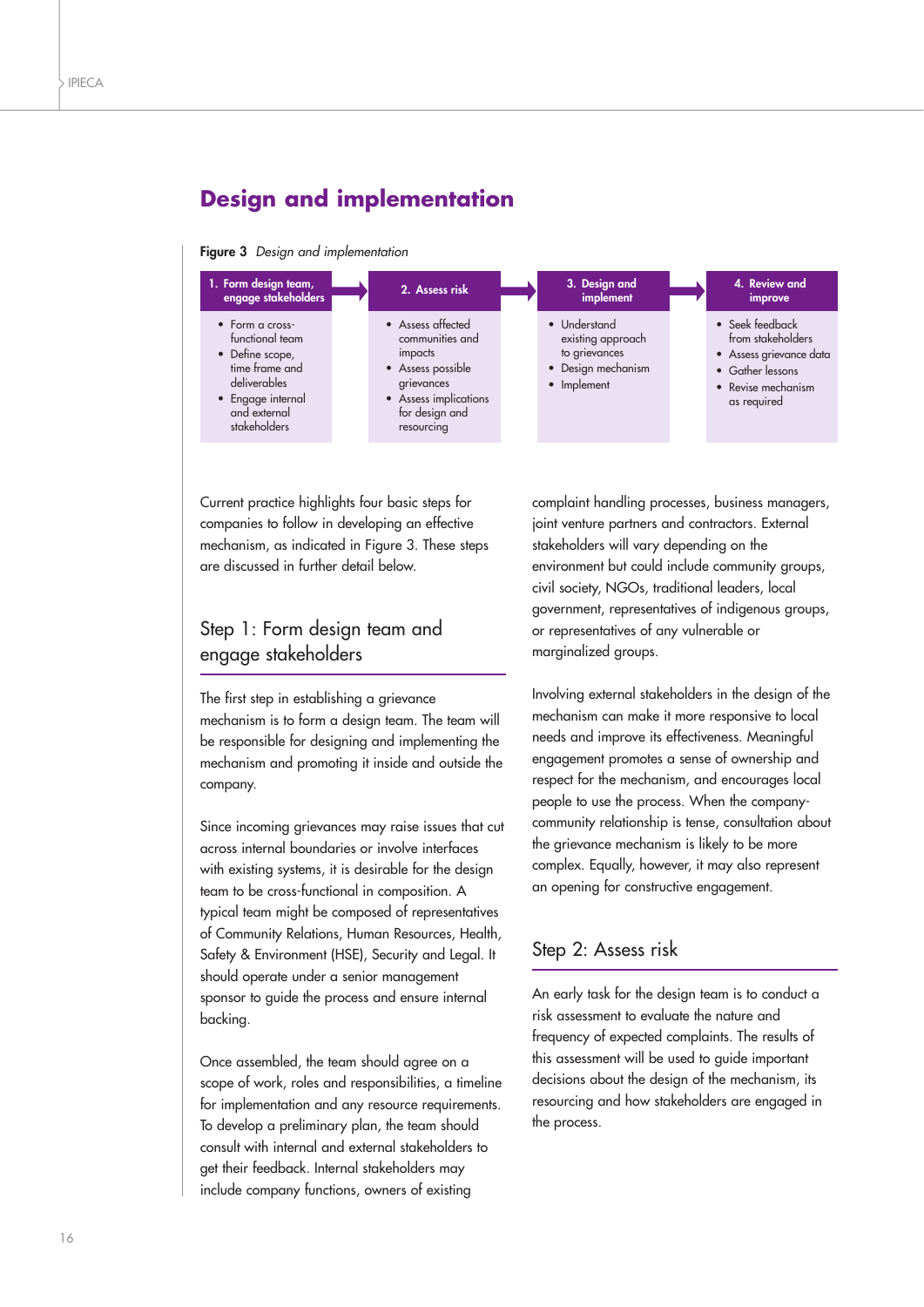## **Design and implementation**

#### **Figure 3** Design and implementation



Current practice highlights four basic steps for companies to follow in developing an effective mechanism, as indicated in Figure 3. These steps are discussed in further detail below.

## Step 1: Form design team and engage stakeholders

The first step in establishing a grievance mechanism is to form a design team. The team will be responsible for designing and implementing the mechanism and promoting it inside and outside the company.

Since incoming grievances may raise issues that cut across internal boundaries or involve interfaces with existing systems, it is desirable for the design team to be cross-functional in composition. A typical team might be composed of representatives of Community Relations, Human Resources, Health, Safety & Environment (HSE), Security and Legal. It should operate under a senior management sponsor to guide the process and ensure internal backing.

Once assembled, the team should agree on a scope of work, roles and responsibilities, a timeline for implementation and any resource requirements. To develop a preliminary plan, the team should consult with internal and external stakeholders to get their feedback. Internal stakeholders may include company functions, owners of existing

complaint handling processes, business managers, joint venture partners and contractors. External stakeholders will vary depending on the environment but could include community groups, civil society, NGOs, traditional leaders, local government, representatives of indigenous groups, or representatives of any vulnerable or marginalized groups.

Involving external stakeholders in the design of the mechanism can make it more responsive to local needs and improve its effectiveness. Meaningful engagement promotes a sense of ownership and respect for the mechanism, and encourages local people to use the process. When the companycommunity relationship is tense, consultation about the grievance mechanism is likely to be more complex. Equally, however, it may also represent an opening for constructive engagement.

### Step 2: Assess risk

An early task for the design team is to conduct a risk assessment to evaluate the nature and frequency of expected complaints. The results of this assessment will be used to guide important decisions about the design of the mechanism, its resourcing and how stakeholders are engaged in the process.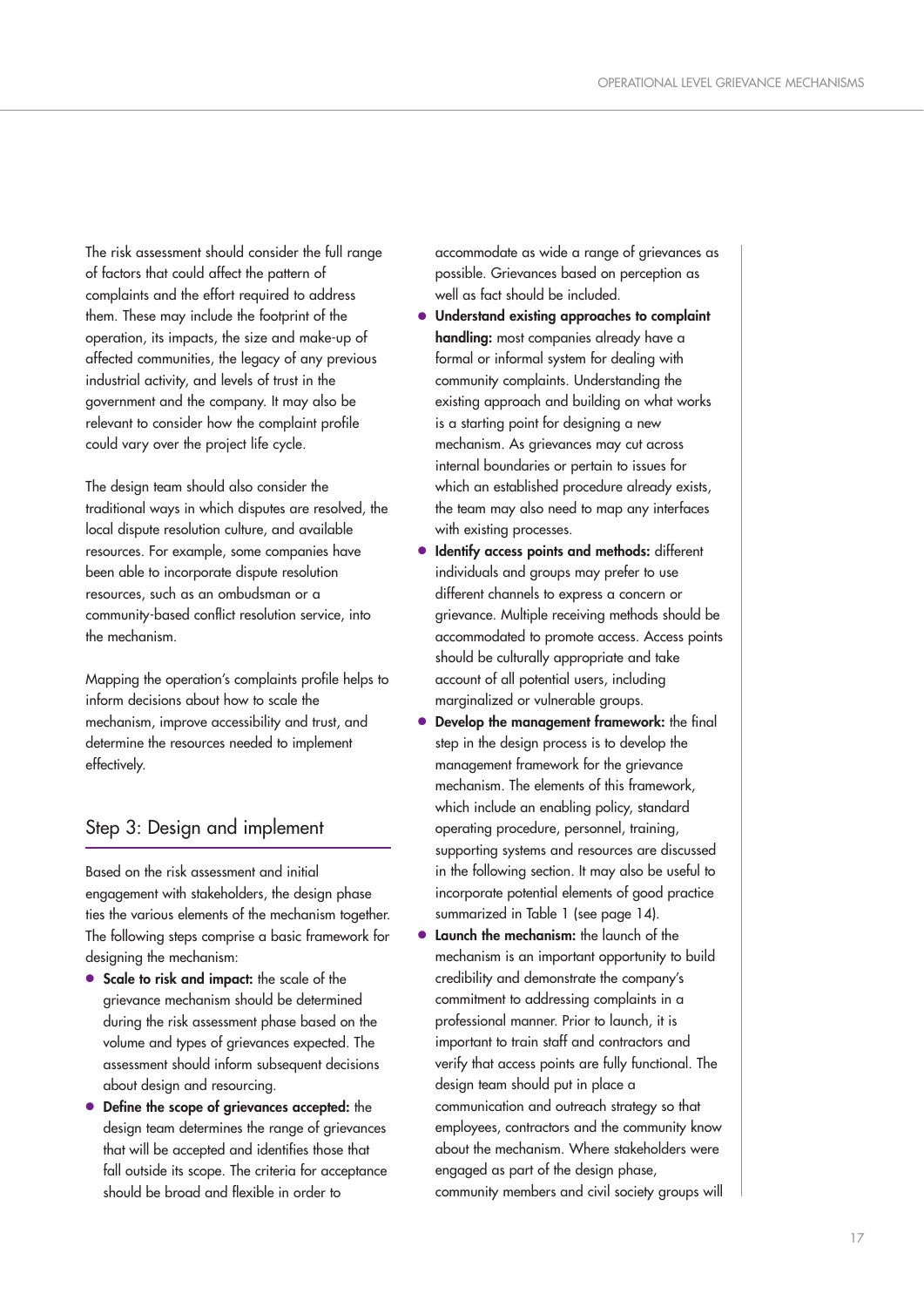The risk assessment should consider the full range of factors that could affect the pattern of complaints and the effort required to address them. These may include the footprint of the operation, its impacts, the size and make-up of affected communities, the legacy of any previous industrial activity, and levels of trust in the government and the company. It may also be relevant to consider how the complaint profile could vary over the project life cycle.

The design team should also consider the traditional ways in which disputes are resolved, the local dispute resolution culture, and available resources. For example, some companies have been able to incorporate dispute resolution resources, such as an ombudsman or a community-based conflict resolution service, into the mechanism.

Mapping the operation's complaints profile helps to inform decisions about how to scale the mechanism, improve accessibility and trust, and determine the resources needed to implement effectively.

## Step 3: Design and implement

Based on the risk assessment and initial engagement with stakeholders, the design phase ties the various elements of the mechanism together. The following steps comprise a basic framework for designing the mechanism:

- **Scale to risk and impact:** the scale of the grievance mechanism should be determined during the risk assessment phase based on the volume and types of grievances expected. The assessment should inform subsequent decisions about design and resourcing.
- **Define the scope of grievances accepted:** the design team determines the range of grievances that will be accepted and identifies those that fall outside its scope. The criteria for acceptance should be broad and flexible in order to

accommodate as wide a range of grievances as possible. Grievances based on perception as well as fact should be included.

- **Understand existing approaches to complaint handling:** most companies already have a formal or informal system for dealing with community complaints. Understanding the existing approach and building on what works is a starting point for designing a new mechanism. As grievances may cut across internal boundaries or pertain to issues for which an established procedure already exists, the team may also need to map any interfaces with existing processes.
- **Identify access points and methods:** different individuals and groups may prefer to use different channels to express a concern or grievance. Multiple receiving methods should be accommodated to promote access. Access points should be culturally appropriate and take account of all potential users, including marginalized or vulnerable groups.
- **Develop the management framework:** the final step in the design process is to develop the management framework for the grievance mechanism. The elements of this framework, which include an enabling policy, standard operating procedure, personnel, training, supporting systems and resources are discussed in the following section. It may also be useful to incorporate potential elements of good practice summarized in Table 1 (see page 14).
- **Launch the mechanism:** the launch of the mechanism is an important opportunity to build credibility and demonstrate the company's commitment to addressing complaints in a professional manner. Prior to launch, it is important to train staff and contractors and verify that access points are fully functional. The design team should put in place a communication and outreach strategy so that employees, contractors and the community know about the mechanism. Where stakeholders were engaged as part of the design phase, community members and civil society groups will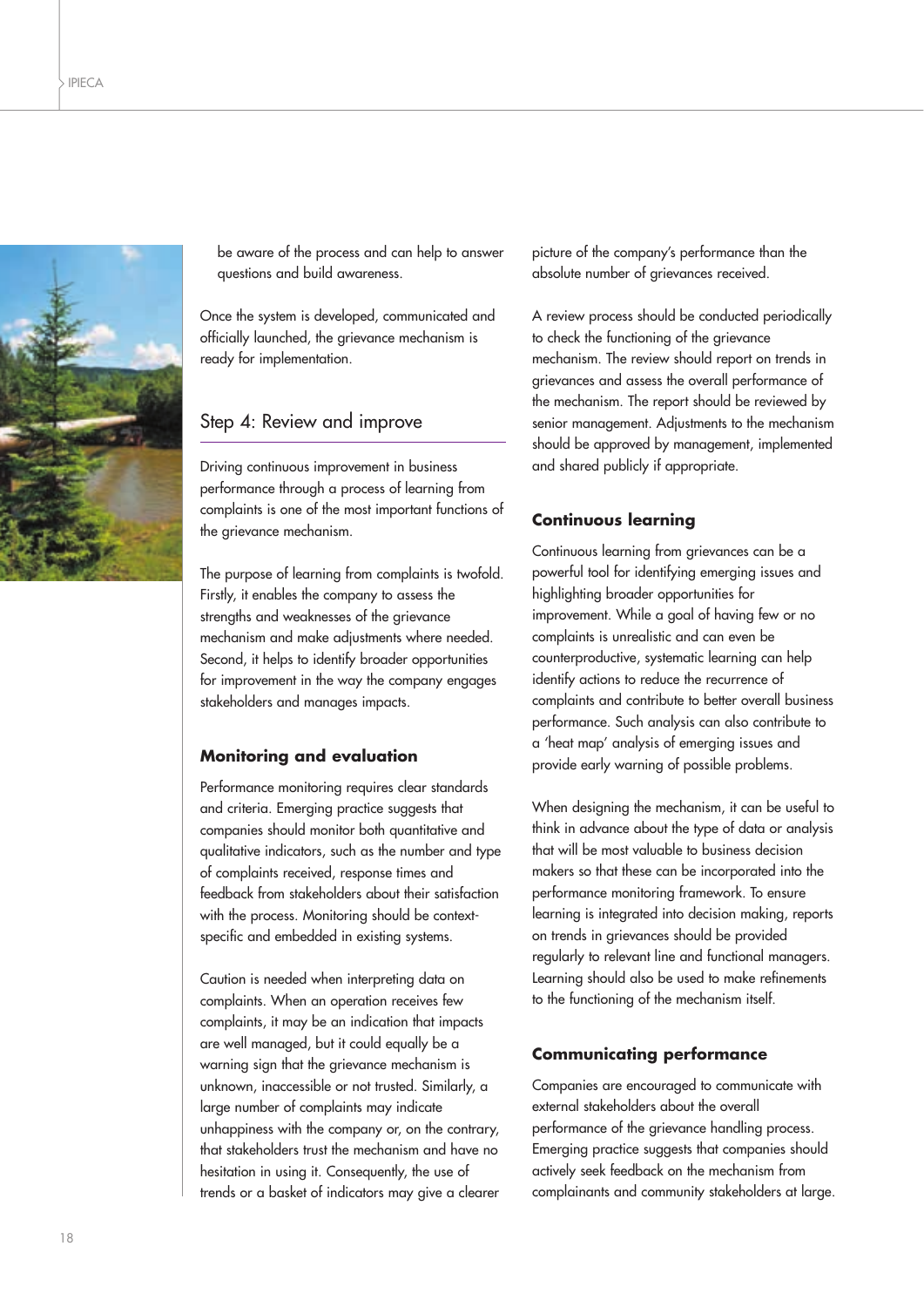

be aware of the process and can help to answer questions and build awareness.

Once the system is developed, communicated and officially launched, the grievance mechanism is ready for implementation.

#### Step 4: Review and improve

Driving continuous improvement in business performance through a process of learning from complaints is one of the most important functions of the grievance mechanism.

The purpose of learning from complaints is twofold. Firstly, it enables the company to assess the strengths and weaknesses of the grievance mechanism and make adjustments where needed. Second, it helps to identify broader opportunities for improvement in the way the company engages stakeholders and manages impacts.

#### **Monitoring and evaluation**

Performance monitoring requires clear standards and criteria. Emerging practice suggests that companies should monitor both quantitative and qualitative indicators, such as the number and type of complaints received, response times and feedback from stakeholders about their satisfaction with the process. Monitoring should be contextspecific and embedded in existing systems.

Caution is needed when interpreting data on complaints. When an operation receives few complaints, it may be an indication that impacts are well managed, but it could equally be a warning sign that the grievance mechanism is unknown, inaccessible or not trusted. Similarly, a large number of complaints may indicate unhappiness with the company or, on the contrary, that stakeholders trust the mechanism and have no hesitation in using it. Consequently, the use of trends or a basket of indicators may give a clearer picture of the company's performance than the absolute number of grievances received.

A review process should be conducted periodically to check the functioning of the grievance mechanism. The review should report on trends in grievances and assess the overall performance of the mechanism. The report should be reviewed by senior management. Adjustments to the mechanism should be approved by management, implemented and shared publicly if appropriate.

#### **Continuous learning**

Continuous learning from grievances can be a powerful tool for identifying emerging issues and highlighting broader opportunities for improvement. While a goal of having few or no complaints is unrealistic and can even be counterproductive, systematic learning can help identify actions to reduce the recurrence of complaints and contribute to better overall business performance. Such analysis can also contribute to a 'heat map' analysis of emerging issues and provide early warning of possible problems.

When designing the mechanism, it can be useful to think in advance about the type of data or analysis that will be most valuable to business decision makers so that these can be incorporated into the performance monitoring framework. To ensure learning is integrated into decision making, reports on trends in grievances should be provided regularly to relevant line and functional managers. Learning should also be used to make refinements to the functioning of the mechanism itself.

#### **Communicating performance**

Companies are encouraged to communicate with external stakeholders about the overall performance of the grievance handling process. Emerging practice suggests that companies should actively seek feedback on the mechanism from complainants and community stakeholders at large.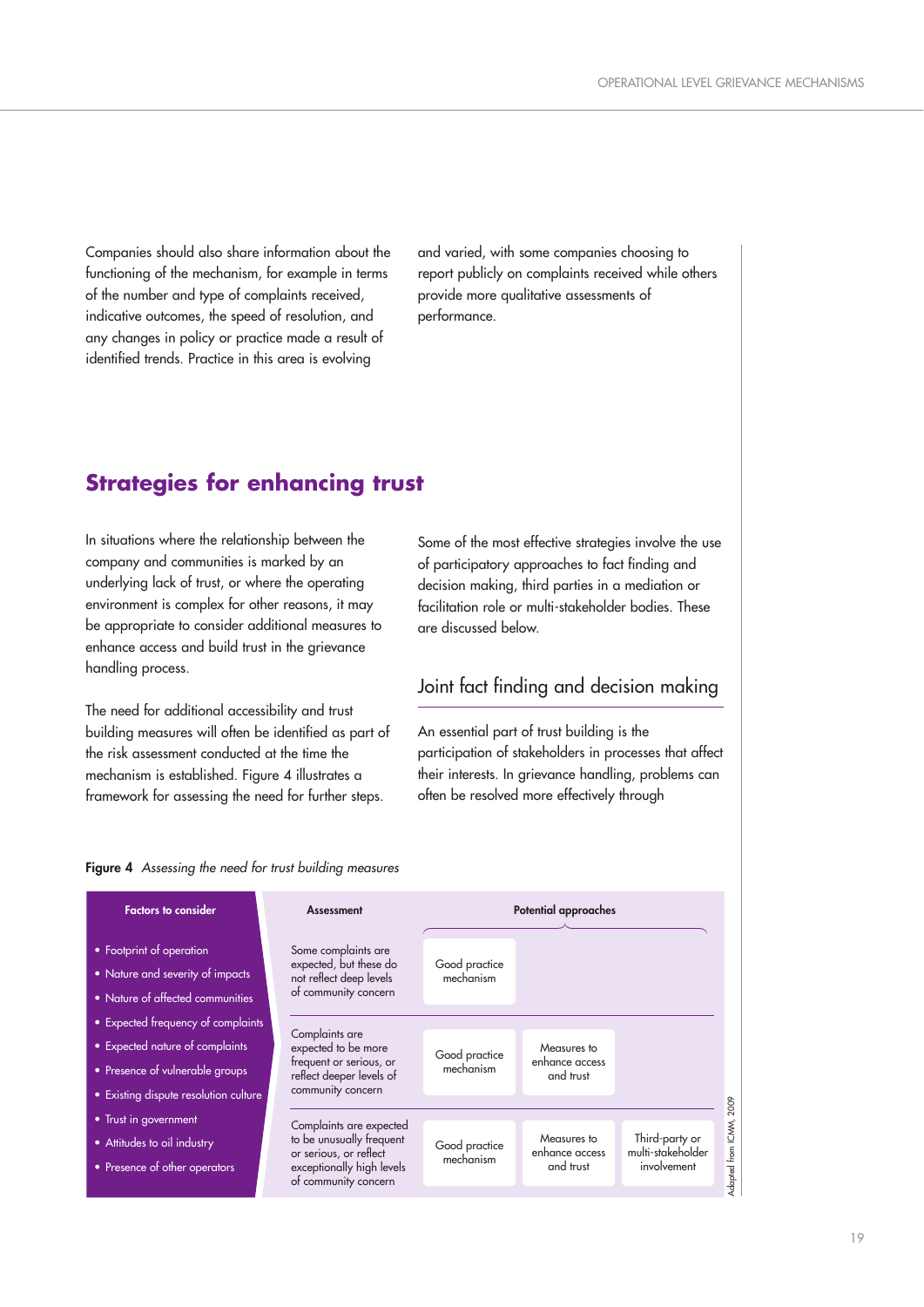Companies should also share information about the functioning of the mechanism, for example in terms of the number and type of complaints received, indicative outcomes, the speed of resolution, and any changes in policy or practice made a result of identified trends. Practice in this area is evolving

and varied, with some companies choosing to report publicly on complaints received while others provide more qualitative assessments of performance.

## **Strategies for enhancing trust**

In situations where the relationship between the company and communities is marked by an underlying lack of trust, or where the operating environment is complex for other reasons, it may be appropriate to consider additional measures to enhance access and build trust in the grievance handling process.

The need for additional accessibility and trust building measures will often be identified as part of the risk assessment conducted at the time the mechanism is established. Figure 4 illustrates a framework for assessing the need for further steps.

Some of the most effective strategies involve the use of participatory approaches to fact finding and decision making, third parties in a mediation or facilitation role or multi-stakeholder bodies. These are discussed below.

## Joint fact finding and decision making

An essential part of trust building is the participation of stakeholders in processes that affect their interests. In grievance handling, problems can often be resolved more effectively through

#### **Figure 4** Assessing the need for trust building measures

| <b>Factors to consider</b>                                                                                                                        | <b>Assessment</b>                                                                                                                  | Potential approaches       |                                            |                                                    |  |
|---------------------------------------------------------------------------------------------------------------------------------------------------|------------------------------------------------------------------------------------------------------------------------------------|----------------------------|--------------------------------------------|----------------------------------------------------|--|
| • Footprint of operation<br>• Nature and severity of impacts<br>• Nature of affected communities                                                  | Some complaints are<br>expected, but these do<br>not reflect deep levels<br>of community concern                                   | Good practice<br>mechanism |                                            |                                                    |  |
| • Expected frequency of complaints<br>• Expected nature of complaints<br>• Presence of vulnerable groups<br>• Existing dispute resolution culture | Complaints are<br>expected to be more<br>frequent or serious, or<br>reflect deeper levels of<br>community concern                  | Good practice<br>mechanism | Measures to<br>enhance access<br>and trust |                                                    |  |
| • Trust in government<br>• Attitudes to oil industry<br>• Presence of other operators                                                             | Complaints are expected<br>to be unusually frequent<br>or serious, or reflect<br>exceptionally high levels<br>of community concern | Good practice<br>mechanism | Measures to<br>enhance access<br>and trust | Third-party or<br>multi-stakeholder<br>involvement |  |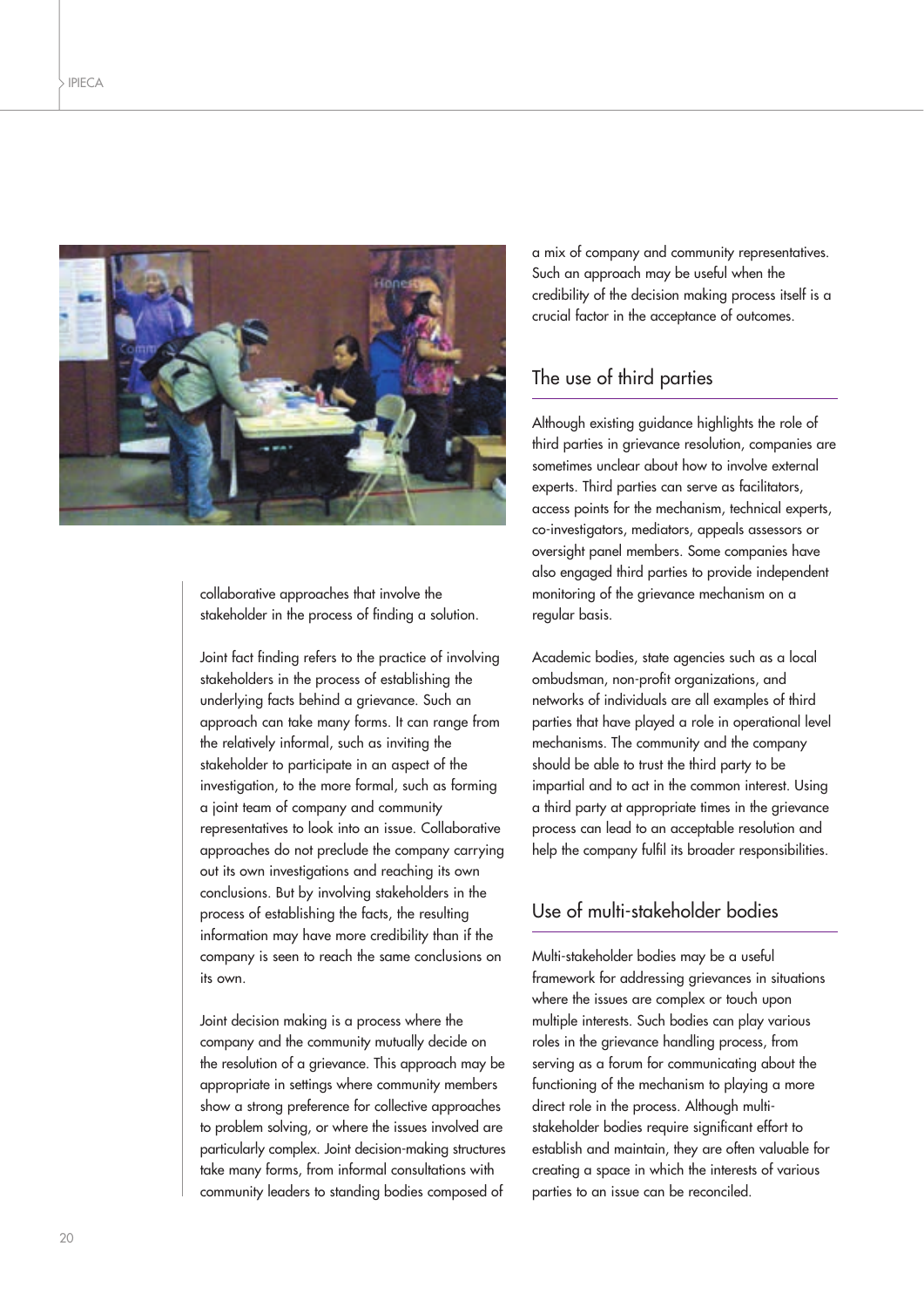

collaborative approaches that involve the stakeholder in the process of finding a solution.

Joint fact finding refers to the practice of involving stakeholders in the process of establishing the underlying facts behind a grievance. Such an approach can take many forms. It can range from the relatively informal, such as inviting the stakeholder to participate in an aspect of the investigation, to the more formal, such as forming a joint team of company and community representatives to look into an issue. Collaborative approaches do not preclude the company carrying out its own investigations and reaching its own conclusions. But by involving stakeholders in the process of establishing the facts, the resulting information may have more credibility than if the company is seen to reach the same conclusions on its own.

Joint decision making is a process where the company and the community mutually decide on the resolution of a grievance. This approach may be appropriate in settings where community members show a strong preference for collective approaches to problem solving, or where the issues involved are particularly complex. Joint decision-making structures take many forms, from informal consultations with community leaders to standing bodies composed of

a mix of company and community representatives. Such an approach may be useful when the credibility of the decision making process itself is a crucial factor in the acceptance of outcomes.

## The use of third parties

Although existing guidance highlights the role of third parties in grievance resolution, companies are sometimes unclear about how to involve external experts. Third parties can serve as facilitators, access points for the mechanism, technical experts, co-investigators, mediators, appeals assessors or oversight panel members. Some companies have also engaged third parties to provide independent monitoring of the grievance mechanism on a regular basis.

Academic bodies, state agencies such as a local ombudsman, non-profit organizations, and networks of individuals are all examples of third parties that have played a role in operational level mechanisms. The community and the company should be able to trust the third party to be impartial and to act in the common interest. Using a third party at appropriate times in the grievance process can lead to an acceptable resolution and help the company fulfil its broader responsibilities.

## Use of multi-stakeholder bodies

Multi-stakeholder bodies may be a useful framework for addressing grievances in situations where the issues are complex or touch upon multiple interests. Such bodies can play various roles in the grievance handling process, from serving as a forum for communicating about the functioning of the mechanism to playing a more direct role in the process. Although multistakeholder bodies require significant effort to establish and maintain, they are often valuable for creating a space in which the interests of various parties to an issue can be reconciled.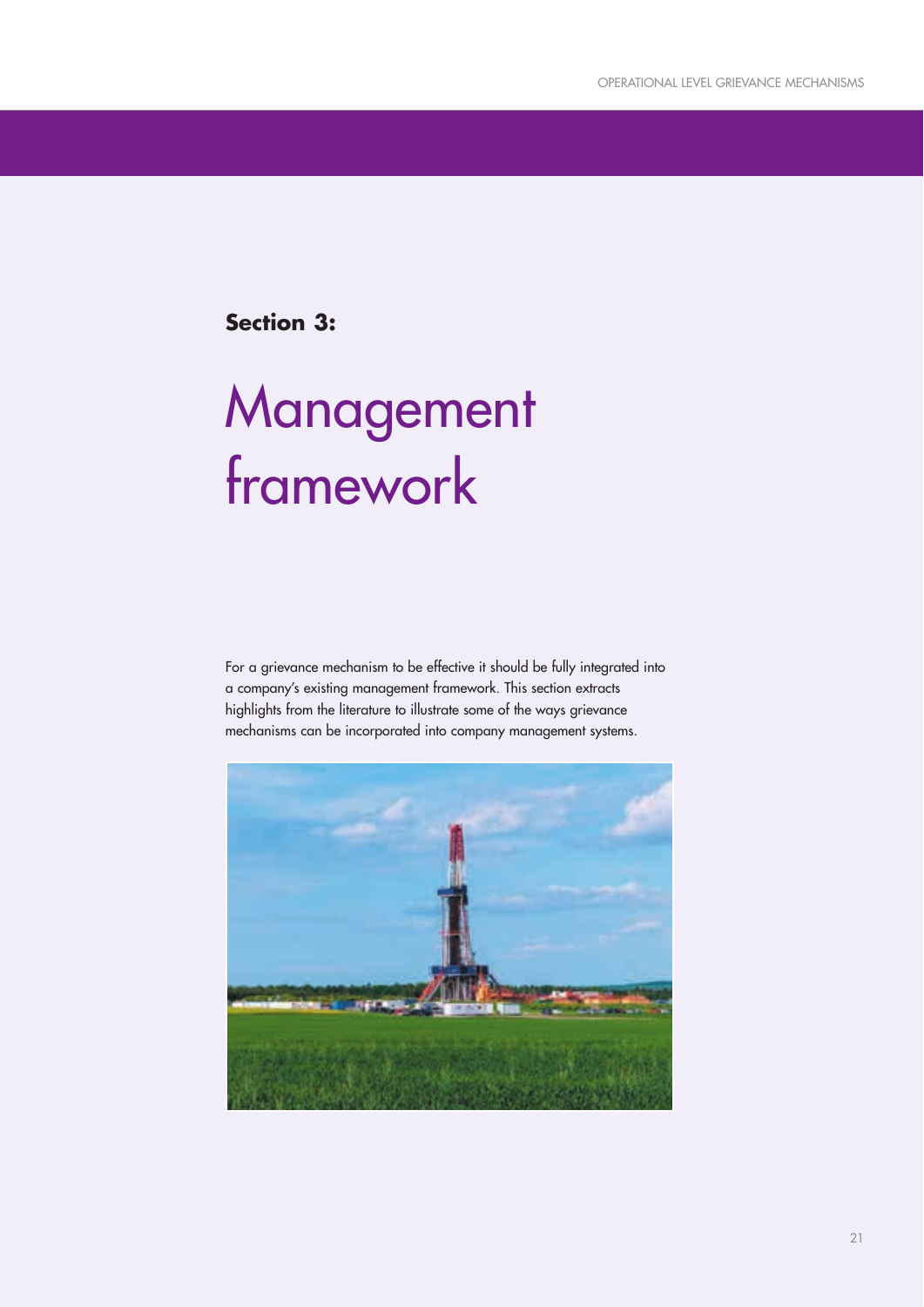**Section 3:**

## Management framework

For a grievance mechanism to be effective it should be fully integrated into a company's existing management framework. This section extracts highlights from the literature to illustrate some of the ways grievance mechanisms can be incorporated into company management systems.

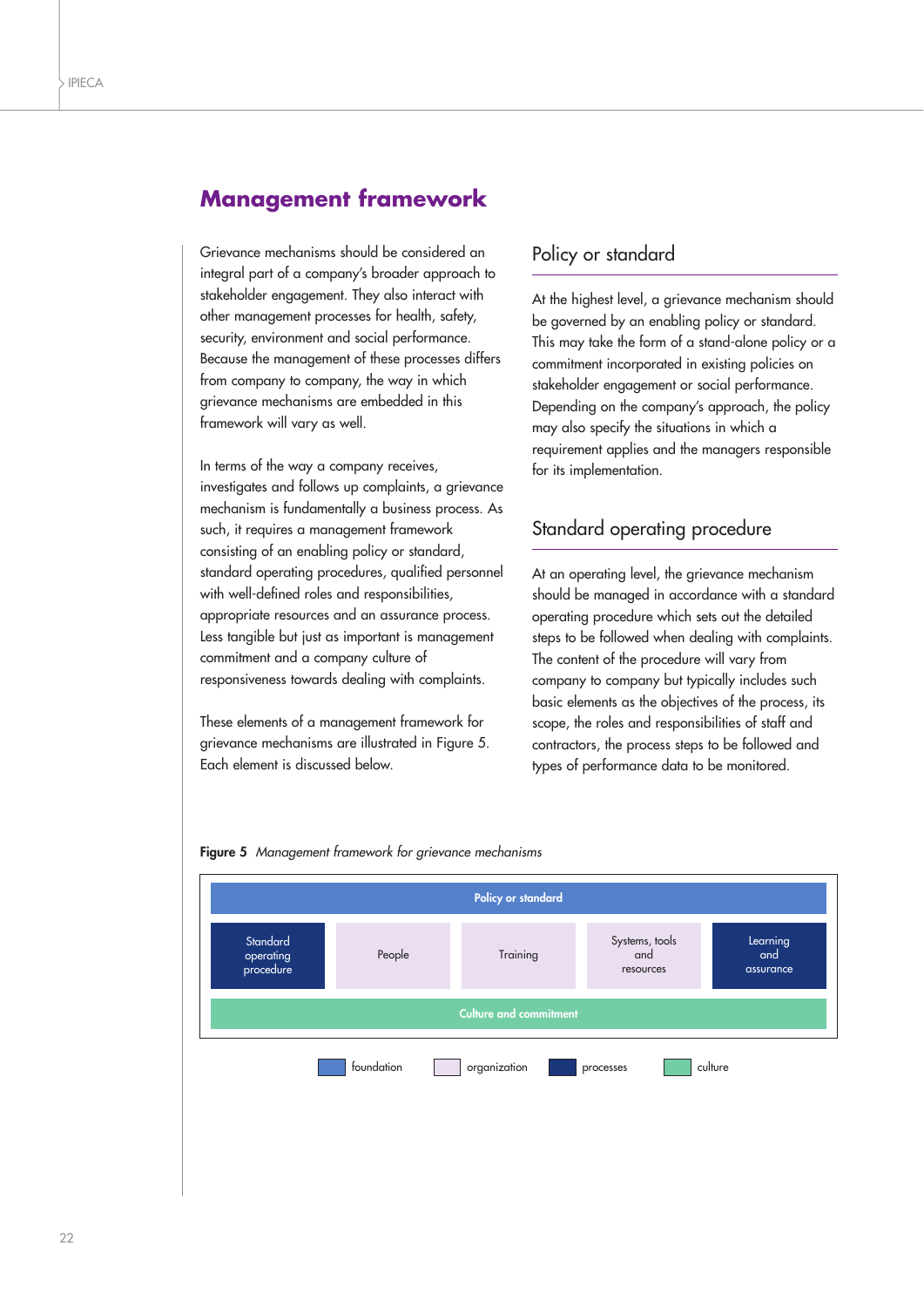## **Management framework**

Grievance mechanisms should be considered an integral part of a company's broader approach to stakeholder engagement. They also interact with other management processes for health, safety, security, environment and social performance. Because the management of these processes differs from company to company, the way in which grievance mechanisms are embedded in this framework will vary as well.

In terms of the way a company receives, investigates and follows up complaints, a grievance mechanism is fundamentally a business process. As such, it requires a management framework consisting of an enabling policy or standard, standard operating procedures, qualified personnel with well-defined roles and responsibilities, appropriate resources and an assurance process. Less tangible but just as important is management commitment and a company culture of responsiveness towards dealing with complaints.

These elements of a management framework for grievance mechanisms are illustrated in Figure 5. Each element is discussed below.

## Policy or standard

At the highest level, a grievance mechanism should be governed by an enabling policy or standard. This may take the form of a stand-alone policy or a commitment incorporated in existing policies on stakeholder engagement or social performance. Depending on the company's approach, the policy may also specify the situations in which a requirement applies and the managers responsible for its implementation.

## Standard operating procedure

At an operating level, the grievance mechanism should be managed in accordance with a standard operating procedure which sets out the detailed steps to be followed when dealing with complaints. The content of the procedure will vary from company to company but typically includes such basic elements as the objectives of the process, its scope, the roles and responsibilities of staff and contractors, the process steps to be followed and types of performance data to be monitored.



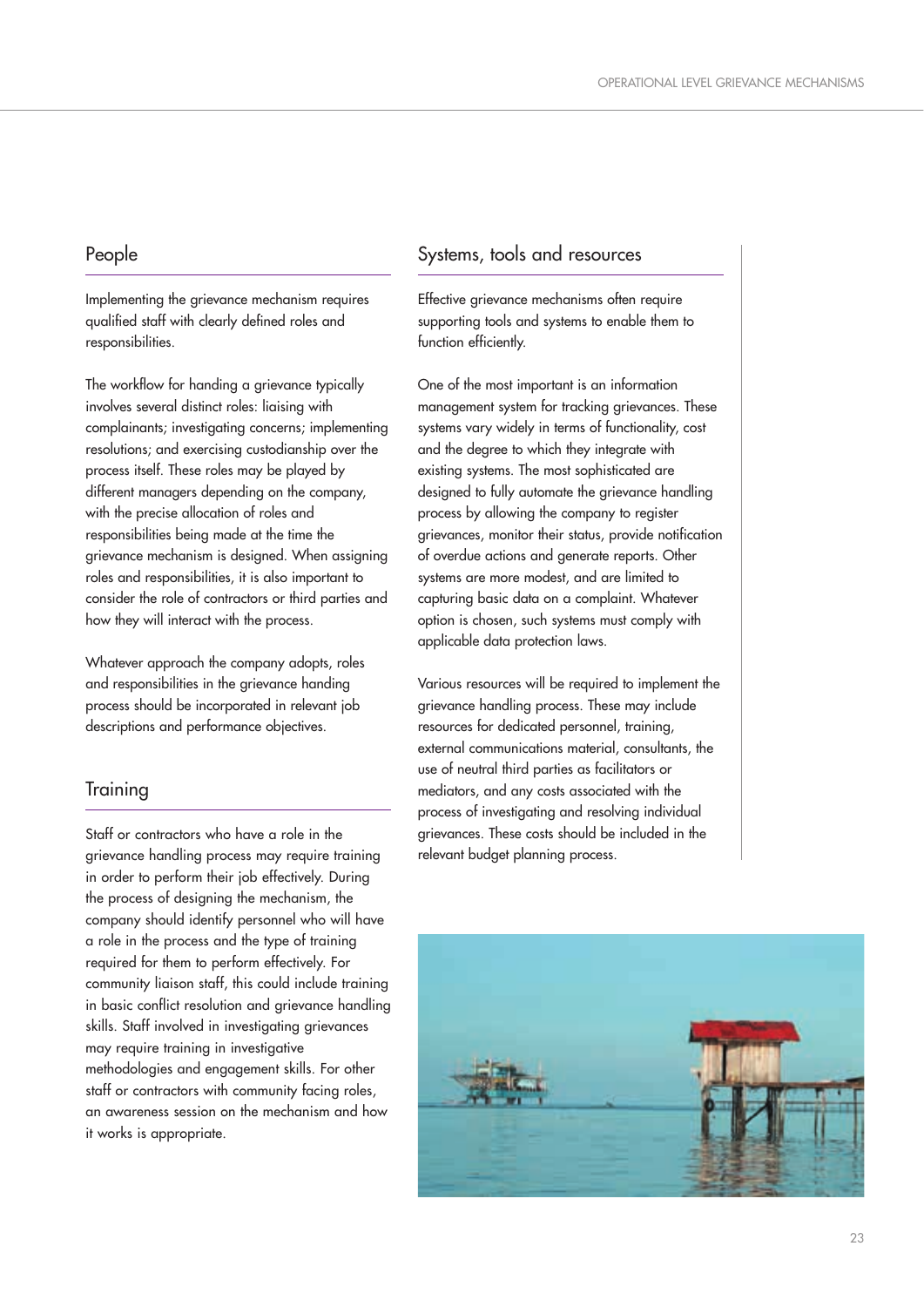## People

Implementing the grievance mechanism requires qualified staff with clearly defined roles and responsibilities.

The workflow for handing a grievance typically involves several distinct roles: liaising with complainants; investigating concerns; implementing resolutions; and exercising custodianship over the process itself. These roles may be played by different managers depending on the company, with the precise allocation of roles and responsibilities being made at the time the grievance mechanism is designed. When assigning roles and responsibilities, it is also important to consider the role of contractors or third parties and how they will interact with the process.

Whatever approach the company adopts, roles and responsibilities in the grievance handing process should be incorporated in relevant job descriptions and performance objectives.

## **Training**

Staff or contractors who have a role in the grievance handling process may require training in order to perform their job effectively. During the process of designing the mechanism, the company should identify personnel who will have a role in the process and the type of training required for them to perform effectively. For community liaison staff, this could include training in basic conflict resolution and grievance handling skills. Staff involved in investigating grievances may require training in investigative methodologies and engagement skills. For other staff or contractors with community facing roles, an awareness session on the mechanism and how it works is appropriate.

## Systems, tools and resources

Effective grievance mechanisms often require supporting tools and systems to enable them to function efficiently.

One of the most important is an information management system for tracking grievances. These systems vary widely in terms of functionality, cost and the degree to which they integrate with existing systems. The most sophisticated are designed to fully automate the grievance handling process by allowing the company to register grievances, monitor their status, provide notification of overdue actions and generate reports. Other systems are more modest, and are limited to capturing basic data on a complaint. Whatever option is chosen, such systems must comply with applicable data protection laws.

Various resources will be required to implement the grievance handling process. These may include resources for dedicated personnel, training, external communications material, consultants, the use of neutral third parties as facilitators or mediators, and any costs associated with the process of investigating and resolving individual grievances. These costs should be included in the relevant budget planning process.

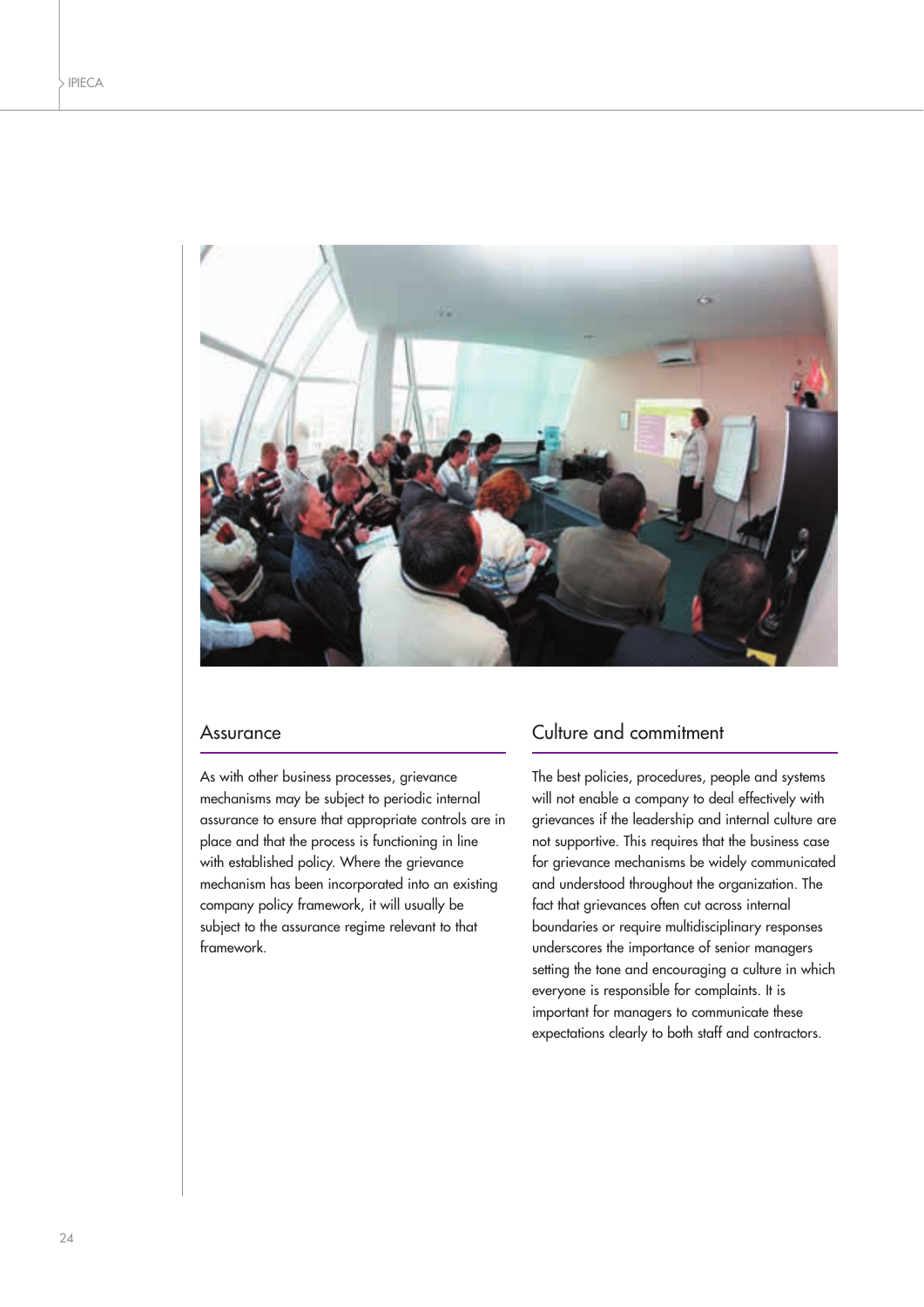

#### Assurance

As with other business processes, grievance mechanisms may be subject to periodic internal assurance to ensure that appropriate controls are in place and that the process is functioning in line with established policy. Where the grievance mechanism has been incorporated into an existing company policy framework, it will usually be subject to the assurance regime relevant to that framework.

## Culture and commitment

The best policies, procedures, people and systems will not enable a company to deal effectively with grievances if the leadership and internal culture are not supportive. This requires that the business case for grievance mechanisms be widely communicated and understood throughout the organization. The fact that grievances often cut across internal boundaries or require multidisciplinary responses underscores the importance of senior managers setting the tone and encouraging a culture in which everyone is responsible for complaints. It is important for managers to communicate these expectations clearly to both staff and contractors.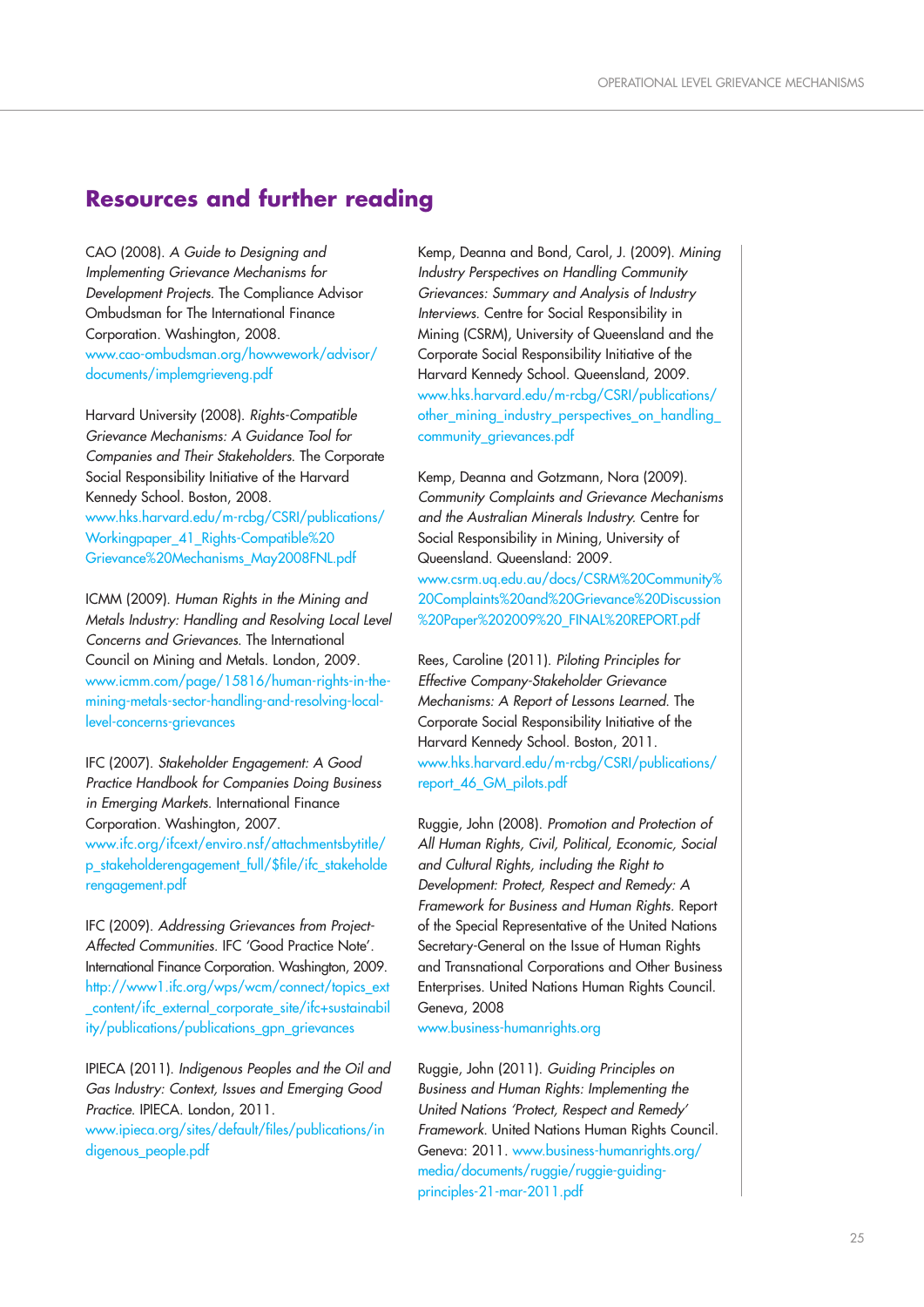## **Resources and further reading**

CAO (2008). A Guide to Designing and Implementing Grievance Mechanisms for Development Projects. The Compliance Advisor Ombudsman for The International Finance Corporation. Washington, 2008. www.cao-ombudsman.org/howwework/advisor/ documents/implemgrieveng.pdf

Harvard University (2008). Rights-Compatible Grievance Mechanisms: A Guidance Tool for Companies and Their Stakeholders. The Corporate Social Responsibility Initiative of the Harvard Kennedy School. Boston, 2008. www.hks.harvard.edu/m-rcbg/CSRI/publications/ Workingpaper 41 Rights-Compatible%20 Grievance%20Mechanisms\_May2008FNL.pdf

ICMM (2009). Human Rights in the Mining and Metals Industry: Handling and Resolving Local Level Concerns and Grievances. The International Council on Mining and Metals. London, 2009. www.icmm.com/page/15816/human-rights-in-themining-metals-sector-handling-and-resolving-locallevel-concerns-grievances

IFC (2007). Stakeholder Engagement: A Good Practice Handbook for Companies Doing Business in Emerging Markets. International Finance Corporation. Washington, 2007. www.ifc.org/ifcext/enviro.nsf/attachmentsbytitle/ p\_stakeholderengagement\_full/\$file/ifc\_stakeholde rengagement.pdf

IFC (2009). Addressing Grievances from Project-Affected Communities. IFC 'Good Practice Note'. International Finance Corporation. Washington, 2009. http://www1.ifc.org/wps/wcm/connect/topics\_ext \_content/ifc\_external\_corporate\_site/ifc+sustainabil ity/publications/publications\_gpn\_grievances

IPIECA (2011). Indigenous Peoples and the Oil and Gas Industry: Context, Issues and Emerging Good Practice. IPIECA. London, 2011. www.ipieca.org/sites/default/files/publications/in digenous people.pdf

Kemp, Deanna and Bond, Carol, J. (2009). Mining Industry Perspectives on Handling Community Grievances: Summary and Analysis of Industry Interviews. Centre for Social Responsibility in Mining (CSRM), University of Queensland and the Corporate Social Responsibility Initiative of the Harvard Kennedy School. Queensland, 2009. www.hks.harvard.edu/m-rcbg/CSRI/publications/ other\_mining\_industry\_perspectives\_on\_handling\_ community grievances.pdf

Kemp, Deanna and Gotzmann, Nora (2009). Community Complaints and Grievance Mechanisms and the Australian Minerals Industry. Centre for Social Responsibility in Mining, University of Queensland. Queensland: 2009. www.csrm.uq.edu.au/docs/CSRM%20Community% 20Complaints%20and%20Grievance%20Discussion %20Paper%202009%20\_FINAL%20REPORT.pdf

Rees, Caroline (2011). Piloting Principles for Effective Company-Stakeholder Grievance Mechanisms: A Report of Lessons Learned. The Corporate Social Responsibility Initiative of the Harvard Kennedy School. Boston, 2011. www.hks.harvard.edu/m-rcbg/CSRI/publications/ report\_46\_GM\_pilots.pdf

Ruggie, John (2008). Promotion and Protection of All Human Rights, Civil, Political, Economic, Social and Cultural Rights, including the Right to Development: Protect, Respect and Remedy: A Framework for Business and Human Rights. Report of the Special Representative of the United Nations Secretary-General on the Issue of Human Rights and Transnational Corporations and Other Business Enterprises. United Nations Human Rights Council. Geneva, 2008

www.business-humanrights.org

Ruggie, John (2011). Guiding Principles on Business and Human Rights: Implementing the United Nations 'Protect, Respect and Remedy' Framework. United Nations Human Rights Council. Geneva: 2011. www.business-humanrights.org/ media/documents/ruggie/ruggie-guidingprinciples-21-mar-2011.pdf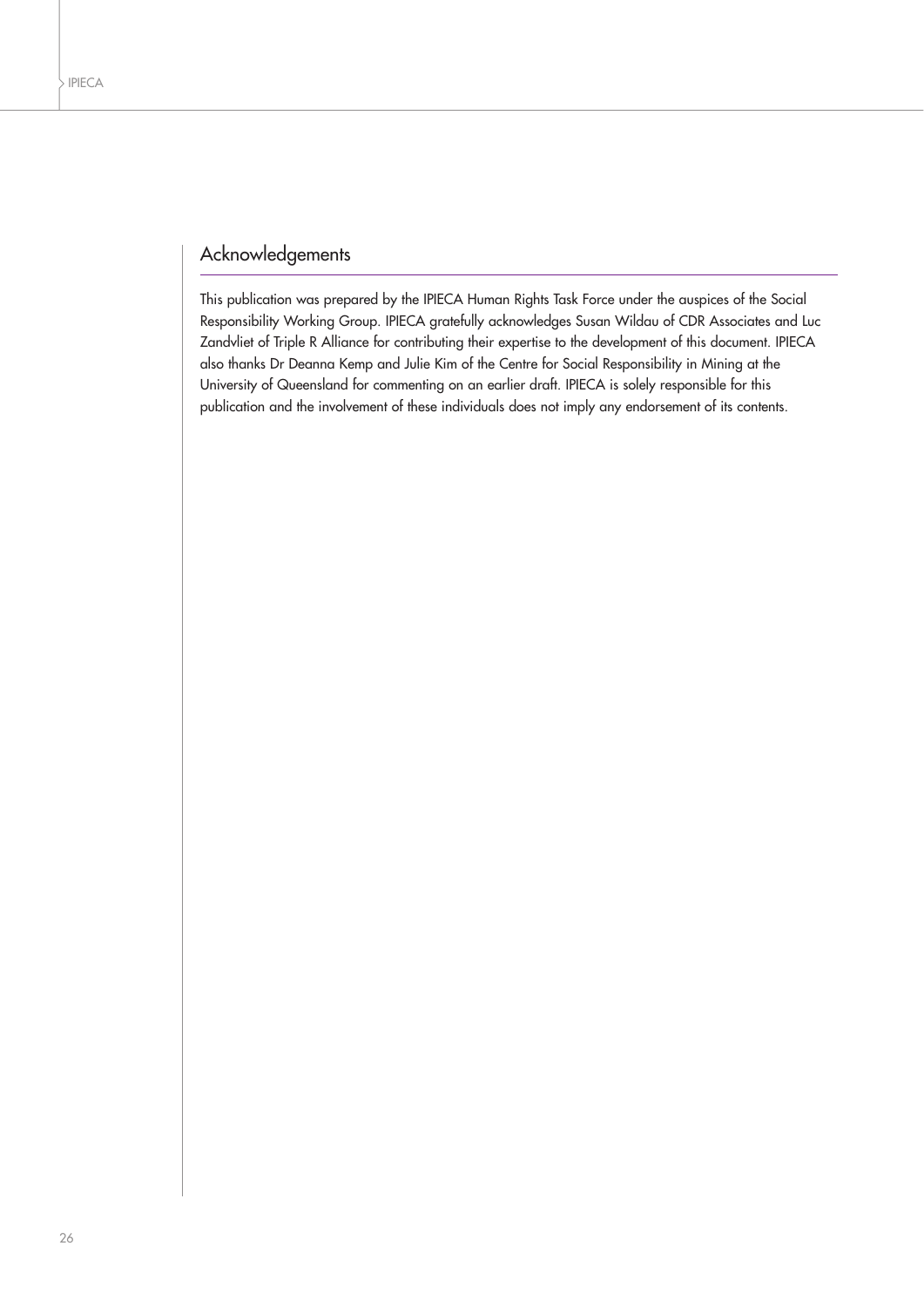## Acknowledgements

This publication was prepared by the IPIECA Human Rights Task Force under the auspices of the Social Responsibility Working Group. IPIECA gratefully acknowledges Susan Wildau of CDR Associates and Luc Zandvliet of Triple R Alliance for contributing their expertise to the development of this document. IPIECA also thanks Dr Deanna Kemp and Julie Kim of the Centre for Social Responsibility in Mining at the University of Queensland for commenting on an earlier draft. IPIECA is solely responsible for this publication and the involvement of these individuals does not imply any endorsement of its contents.